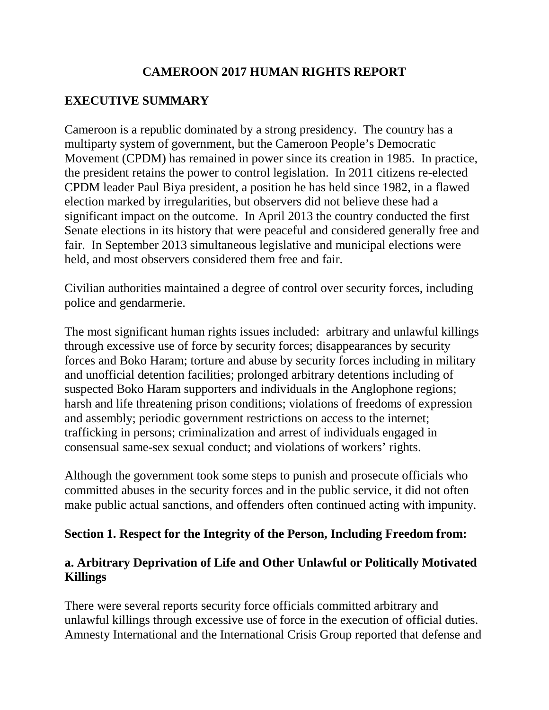## **CAMEROON 2017 HUMAN RIGHTS REPORT**

# **EXECUTIVE SUMMARY**

Cameroon is a republic dominated by a strong presidency. The country has a multiparty system of government, but the Cameroon People's Democratic Movement (CPDM) has remained in power since its creation in 1985. In practice, the president retains the power to control legislation. In 2011 citizens re-elected CPDM leader Paul Biya president, a position he has held since 1982, in a flawed election marked by irregularities, but observers did not believe these had a significant impact on the outcome. In April 2013 the country conducted the first Senate elections in its history that were peaceful and considered generally free and fair. In September 2013 simultaneous legislative and municipal elections were held, and most observers considered them free and fair.

Civilian authorities maintained a degree of control over security forces, including police and gendarmerie.

The most significant human rights issues included: arbitrary and unlawful killings through excessive use of force by security forces; disappearances by security forces and Boko Haram; torture and abuse by security forces including in military and unofficial detention facilities; prolonged arbitrary detentions including of suspected Boko Haram supporters and individuals in the Anglophone regions; harsh and life threatening prison conditions; violations of freedoms of expression and assembly; periodic government restrictions on access to the internet; trafficking in persons; criminalization and arrest of individuals engaged in consensual same-sex sexual conduct; and violations of workers' rights.

Although the government took some steps to punish and prosecute officials who committed abuses in the security forces and in the public service, it did not often make public actual sanctions, and offenders often continued acting with impunity.

#### **Section 1. Respect for the Integrity of the Person, Including Freedom from:**

### **a. Arbitrary Deprivation of Life and Other Unlawful or Politically Motivated Killings**

There were several reports security force officials committed arbitrary and unlawful killings through excessive use of force in the execution of official duties. Amnesty International and the International Crisis Group reported that defense and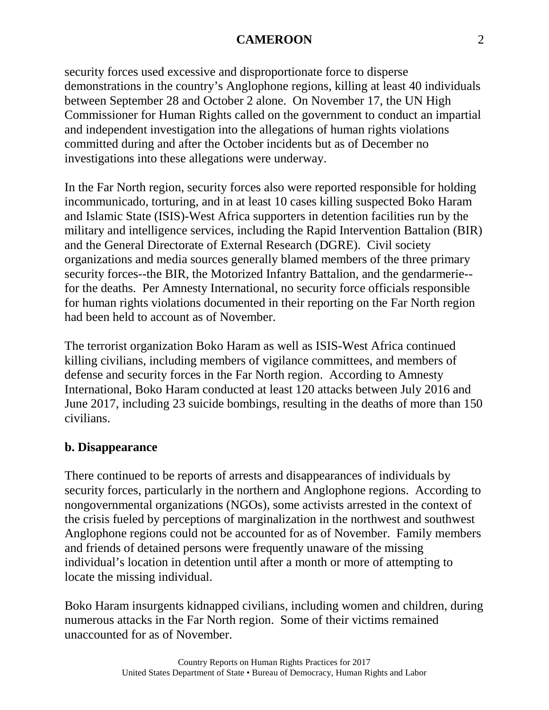security forces used excessive and disproportionate force to disperse demonstrations in the country's Anglophone regions, killing at least 40 individuals between September 28 and October 2 alone. On November 17, the UN High Commissioner for Human Rights called on the government to conduct an impartial and independent investigation into the allegations of human rights violations committed during and after the October incidents but as of December no investigations into these allegations were underway.

In the Far North region, security forces also were reported responsible for holding incommunicado, torturing, and in at least 10 cases killing suspected Boko Haram and Islamic State (ISIS)-West Africa supporters in detention facilities run by the military and intelligence services, including the Rapid Intervention Battalion (BIR) and the General Directorate of External Research (DGRE). Civil society organizations and media sources generally blamed members of the three primary security forces--the BIR, the Motorized Infantry Battalion, and the gendarmerie- for the deaths. Per Amnesty International, no security force officials responsible for human rights violations documented in their reporting on the Far North region had been held to account as of November.

The terrorist organization Boko Haram as well as ISIS-West Africa continued killing civilians, including members of vigilance committees, and members of defense and security forces in the Far North region. According to Amnesty International, Boko Haram conducted at least 120 attacks between July 2016 and June 2017, including 23 suicide bombings, resulting in the deaths of more than 150 civilians.

### **b. Disappearance**

There continued to be reports of arrests and disappearances of individuals by security forces, particularly in the northern and Anglophone regions. According to nongovernmental organizations (NGOs), some activists arrested in the context of the crisis fueled by perceptions of marginalization in the northwest and southwest Anglophone regions could not be accounted for as of November. Family members and friends of detained persons were frequently unaware of the missing individual's location in detention until after a month or more of attempting to locate the missing individual.

Boko Haram insurgents kidnapped civilians, including women and children, during numerous attacks in the Far North region. Some of their victims remained unaccounted for as of November.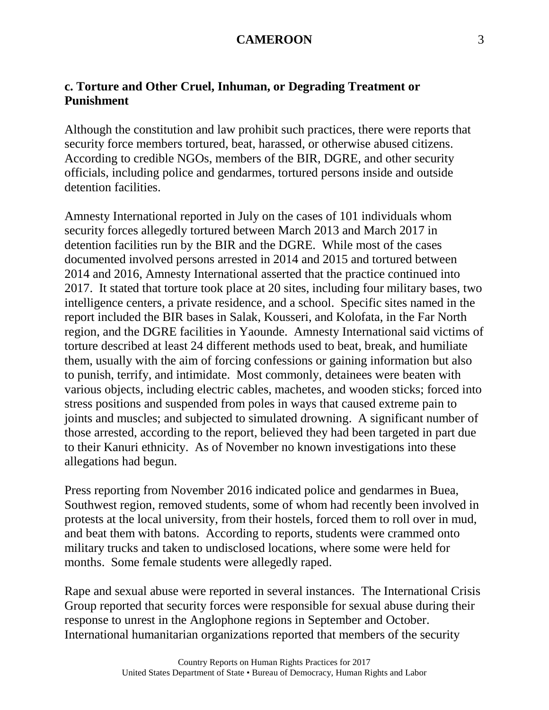## **c. Torture and Other Cruel, Inhuman, or Degrading Treatment or Punishment**

Although the constitution and law prohibit such practices, there were reports that security force members tortured, beat, harassed, or otherwise abused citizens. According to credible NGOs, members of the BIR, DGRE, and other security officials, including police and gendarmes, tortured persons inside and outside detention facilities.

Amnesty International reported in July on the cases of 101 individuals whom security forces allegedly tortured between March 2013 and March 2017 in detention facilities run by the BIR and the DGRE. While most of the cases documented involved persons arrested in 2014 and 2015 and tortured between 2014 and 2016, Amnesty International asserted that the practice continued into 2017. It stated that torture took place at 20 sites, including four military bases, two intelligence centers, a private residence, and a school. Specific sites named in the report included the BIR bases in Salak, Kousseri, and Kolofata, in the Far North region, and the DGRE facilities in Yaounde. Amnesty International said victims of torture described at least 24 different methods used to beat, break, and humiliate them, usually with the aim of forcing confessions or gaining information but also to punish, terrify, and intimidate. Most commonly, detainees were beaten with various objects, including electric cables, machetes, and wooden sticks; forced into stress positions and suspended from poles in ways that caused extreme pain to joints and muscles; and subjected to simulated drowning. A significant number of those arrested, according to the report, believed they had been targeted in part due to their Kanuri ethnicity. As of November no known investigations into these allegations had begun.

Press reporting from November 2016 indicated police and gendarmes in Buea, Southwest region, removed students, some of whom had recently been involved in protests at the local university, from their hostels, forced them to roll over in mud, and beat them with batons. According to reports, students were crammed onto military trucks and taken to undisclosed locations, where some were held for months. Some female students were allegedly raped.

Rape and sexual abuse were reported in several instances. The International Crisis Group reported that security forces were responsible for sexual abuse during their response to unrest in the Anglophone regions in September and October. International humanitarian organizations reported that members of the security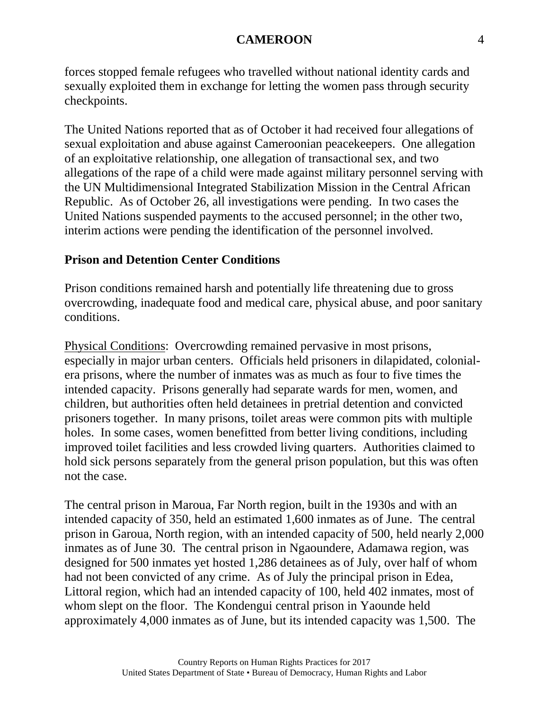forces stopped female refugees who travelled without national identity cards and sexually exploited them in exchange for letting the women pass through security checkpoints.

The United Nations reported that as of October it had received four allegations of sexual exploitation and abuse against Cameroonian peacekeepers. One allegation of an exploitative relationship, one allegation of transactional sex, and two allegations of the rape of a child were made against military personnel serving with the UN Multidimensional Integrated Stabilization Mission in the Central African Republic. As of October 26, all investigations were pending. In two cases the United Nations suspended payments to the accused personnel; in the other two, interim actions were pending the identification of the personnel involved.

#### **Prison and Detention Center Conditions**

Prison conditions remained harsh and potentially life threatening due to gross overcrowding, inadequate food and medical care, physical abuse, and poor sanitary conditions.

Physical Conditions: Overcrowding remained pervasive in most prisons, especially in major urban centers. Officials held prisoners in dilapidated, colonialera prisons, where the number of inmates was as much as four to five times the intended capacity. Prisons generally had separate wards for men, women, and children, but authorities often held detainees in pretrial detention and convicted prisoners together. In many prisons, toilet areas were common pits with multiple holes. In some cases, women benefitted from better living conditions, including improved toilet facilities and less crowded living quarters. Authorities claimed to hold sick persons separately from the general prison population, but this was often not the case.

The central prison in Maroua, Far North region, built in the 1930s and with an intended capacity of 350, held an estimated 1,600 inmates as of June. The central prison in Garoua, North region, with an intended capacity of 500, held nearly 2,000 inmates as of June 30. The central prison in Ngaoundere, Adamawa region, was designed for 500 inmates yet hosted 1,286 detainees as of July, over half of whom had not been convicted of any crime. As of July the principal prison in Edea, Littoral region, which had an intended capacity of 100, held 402 inmates, most of whom slept on the floor. The Kondengui central prison in Yaounde held approximately 4,000 inmates as of June, but its intended capacity was 1,500. The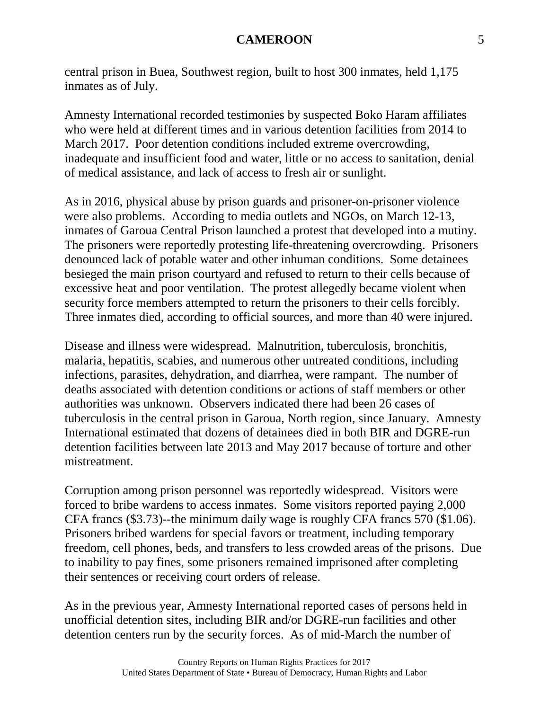central prison in Buea, Southwest region, built to host 300 inmates, held 1,175 inmates as of July.

Amnesty International recorded testimonies by suspected Boko Haram affiliates who were held at different times and in various detention facilities from 2014 to March 2017. Poor detention conditions included extreme overcrowding, inadequate and insufficient food and water, little or no access to sanitation, denial of medical assistance, and lack of access to fresh air or sunlight.

As in 2016, physical abuse by prison guards and prisoner-on-prisoner violence were also problems. According to media outlets and NGOs, on March 12-13, inmates of Garoua Central Prison launched a protest that developed into a mutiny. The prisoners were reportedly protesting life-threatening overcrowding. Prisoners denounced lack of potable water and other inhuman conditions. Some detainees besieged the main prison courtyard and refused to return to their cells because of excessive heat and poor ventilation. The protest allegedly became violent when security force members attempted to return the prisoners to their cells forcibly. Three inmates died, according to official sources, and more than 40 were injured.

Disease and illness were widespread. Malnutrition, tuberculosis, bronchitis, malaria, hepatitis, scabies, and numerous other untreated conditions, including infections, parasites, dehydration, and diarrhea, were rampant. The number of deaths associated with detention conditions or actions of staff members or other authorities was unknown. Observers indicated there had been 26 cases of tuberculosis in the central prison in Garoua, North region, since January. Amnesty International estimated that dozens of detainees died in both BIR and DGRE-run detention facilities between late 2013 and May 2017 because of torture and other mistreatment.

Corruption among prison personnel was reportedly widespread. Visitors were forced to bribe wardens to access inmates. Some visitors reported paying 2,000 CFA francs (\$3.73)--the minimum daily wage is roughly CFA francs 570 (\$1.06). Prisoners bribed wardens for special favors or treatment, including temporary freedom, cell phones, beds, and transfers to less crowded areas of the prisons. Due to inability to pay fines, some prisoners remained imprisoned after completing their sentences or receiving court orders of release.

As in the previous year, Amnesty International reported cases of persons held in unofficial detention sites, including BIR and/or DGRE-run facilities and other detention centers run by the security forces. As of mid-March the number of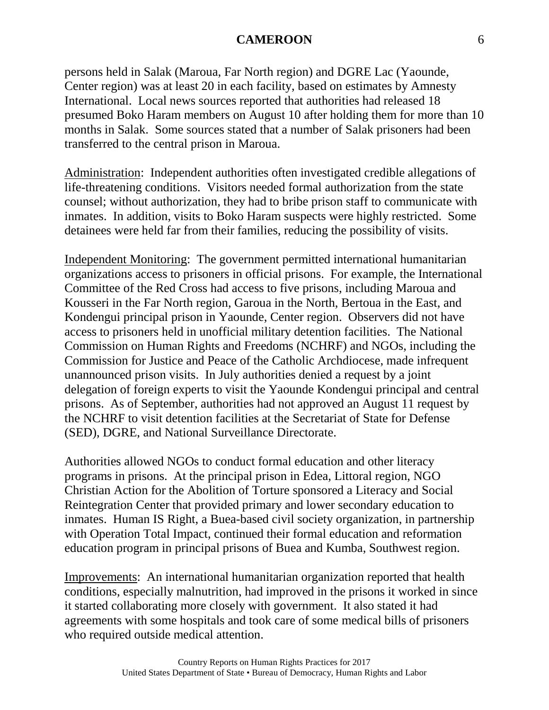persons held in Salak (Maroua, Far North region) and DGRE Lac (Yaounde, Center region) was at least 20 in each facility, based on estimates by Amnesty International. Local news sources reported that authorities had released 18 presumed Boko Haram members on August 10 after holding them for more than 10 months in Salak. Some sources stated that a number of Salak prisoners had been transferred to the central prison in Maroua.

Administration: Independent authorities often investigated credible allegations of life-threatening conditions. Visitors needed formal authorization from the state counsel; without authorization, they had to bribe prison staff to communicate with inmates. In addition, visits to Boko Haram suspects were highly restricted. Some detainees were held far from their families, reducing the possibility of visits.

Independent Monitoring: The government permitted international humanitarian organizations access to prisoners in official prisons. For example, the International Committee of the Red Cross had access to five prisons, including Maroua and Kousseri in the Far North region, Garoua in the North, Bertoua in the East, and Kondengui principal prison in Yaounde, Center region. Observers did not have access to prisoners held in unofficial military detention facilities. The National Commission on Human Rights and Freedoms (NCHRF) and NGOs, including the Commission for Justice and Peace of the Catholic Archdiocese, made infrequent unannounced prison visits. In July authorities denied a request by a joint delegation of foreign experts to visit the Yaounde Kondengui principal and central prisons. As of September, authorities had not approved an August 11 request by the NCHRF to visit detention facilities at the Secretariat of State for Defense (SED), DGRE, and National Surveillance Directorate.

Authorities allowed NGOs to conduct formal education and other literacy programs in prisons. At the principal prison in Edea, Littoral region, NGO Christian Action for the Abolition of Torture sponsored a Literacy and Social Reintegration Center that provided primary and lower secondary education to inmates. Human IS Right, a Buea-based civil society organization, in partnership with Operation Total Impact, continued their formal education and reformation education program in principal prisons of Buea and Kumba, Southwest region.

Improvements: An international humanitarian organization reported that health conditions, especially malnutrition, had improved in the prisons it worked in since it started collaborating more closely with government. It also stated it had agreements with some hospitals and took care of some medical bills of prisoners who required outside medical attention.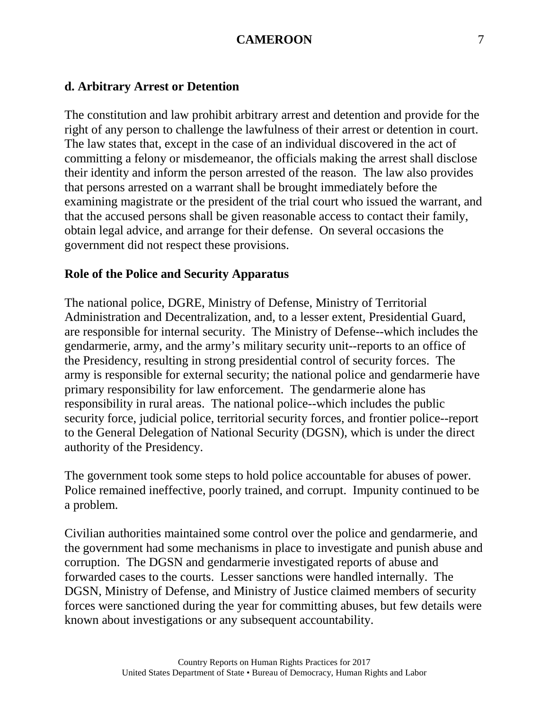### **d. Arbitrary Arrest or Detention**

The constitution and law prohibit arbitrary arrest and detention and provide for the right of any person to challenge the lawfulness of their arrest or detention in court. The law states that, except in the case of an individual discovered in the act of committing a felony or misdemeanor, the officials making the arrest shall disclose their identity and inform the person arrested of the reason. The law also provides that persons arrested on a warrant shall be brought immediately before the examining magistrate or the president of the trial court who issued the warrant, and that the accused persons shall be given reasonable access to contact their family, obtain legal advice, and arrange for their defense. On several occasions the government did not respect these provisions.

#### **Role of the Police and Security Apparatus**

The national police, DGRE, Ministry of Defense, Ministry of Territorial Administration and Decentralization, and, to a lesser extent, Presidential Guard, are responsible for internal security. The Ministry of Defense--which includes the gendarmerie, army, and the army's military security unit--reports to an office of the Presidency, resulting in strong presidential control of security forces. The army is responsible for external security; the national police and gendarmerie have primary responsibility for law enforcement. The gendarmerie alone has responsibility in rural areas. The national police--which includes the public security force, judicial police, territorial security forces, and frontier police--report to the General Delegation of National Security (DGSN), which is under the direct authority of the Presidency.

The government took some steps to hold police accountable for abuses of power. Police remained ineffective, poorly trained, and corrupt. Impunity continued to be a problem.

Civilian authorities maintained some control over the police and gendarmerie, and the government had some mechanisms in place to investigate and punish abuse and corruption. The DGSN and gendarmerie investigated reports of abuse and forwarded cases to the courts. Lesser sanctions were handled internally. The DGSN, Ministry of Defense, and Ministry of Justice claimed members of security forces were sanctioned during the year for committing abuses, but few details were known about investigations or any subsequent accountability.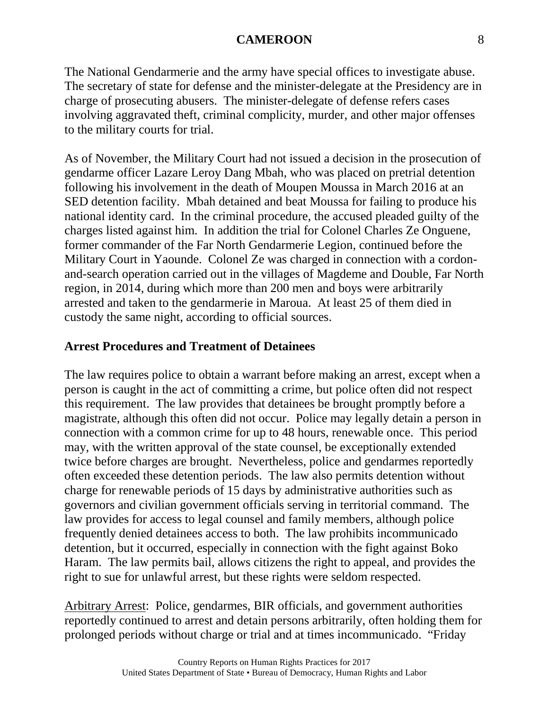The National Gendarmerie and the army have special offices to investigate abuse. The secretary of state for defense and the minister-delegate at the Presidency are in charge of prosecuting abusers. The minister-delegate of defense refers cases involving aggravated theft, criminal complicity, murder, and other major offenses to the military courts for trial.

As of November, the Military Court had not issued a decision in the prosecution of gendarme officer Lazare Leroy Dang Mbah, who was placed on pretrial detention following his involvement in the death of Moupen Moussa in March 2016 at an SED detention facility. Mbah detained and beat Moussa for failing to produce his national identity card. In the criminal procedure, the accused pleaded guilty of the charges listed against him. In addition the trial for Colonel Charles Ze Onguene, former commander of the Far North Gendarmerie Legion, continued before the Military Court in Yaounde. Colonel Ze was charged in connection with a cordonand-search operation carried out in the villages of Magdeme and Double, Far North region, in 2014, during which more than 200 men and boys were arbitrarily arrested and taken to the gendarmerie in Maroua. At least 25 of them died in custody the same night, according to official sources.

### **Arrest Procedures and Treatment of Detainees**

The law requires police to obtain a warrant before making an arrest, except when a person is caught in the act of committing a crime, but police often did not respect this requirement. The law provides that detainees be brought promptly before a magistrate, although this often did not occur. Police may legally detain a person in connection with a common crime for up to 48 hours, renewable once. This period may, with the written approval of the state counsel, be exceptionally extended twice before charges are brought. Nevertheless, police and gendarmes reportedly often exceeded these detention periods. The law also permits detention without charge for renewable periods of 15 days by administrative authorities such as governors and civilian government officials serving in territorial command. The law provides for access to legal counsel and family members, although police frequently denied detainees access to both. The law prohibits incommunicado detention, but it occurred, especially in connection with the fight against Boko Haram. The law permits bail, allows citizens the right to appeal, and provides the right to sue for unlawful arrest, but these rights were seldom respected.

Arbitrary Arrest: Police, gendarmes, BIR officials, and government authorities reportedly continued to arrest and detain persons arbitrarily, often holding them for prolonged periods without charge or trial and at times incommunicado. "Friday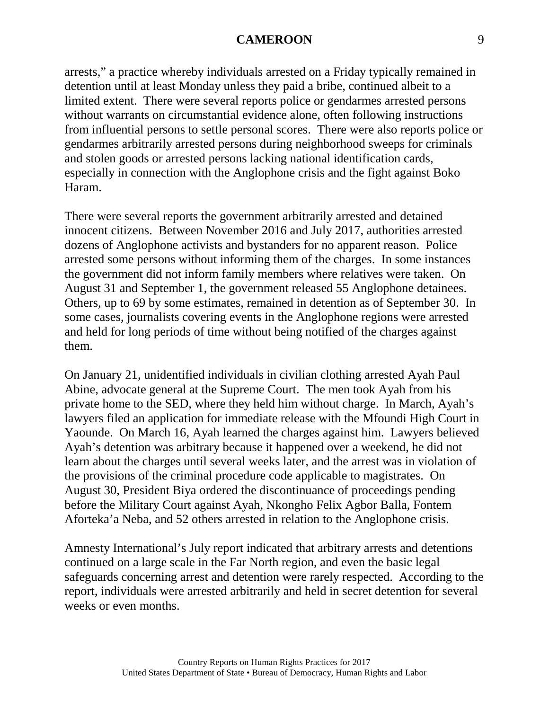arrests," a practice whereby individuals arrested on a Friday typically remained in detention until at least Monday unless they paid a bribe, continued albeit to a limited extent. There were several reports police or gendarmes arrested persons without warrants on circumstantial evidence alone, often following instructions from influential persons to settle personal scores. There were also reports police or gendarmes arbitrarily arrested persons during neighborhood sweeps for criminals and stolen goods or arrested persons lacking national identification cards, especially in connection with the Anglophone crisis and the fight against Boko Haram.

There were several reports the government arbitrarily arrested and detained innocent citizens. Between November 2016 and July 2017, authorities arrested dozens of Anglophone activists and bystanders for no apparent reason. Police arrested some persons without informing them of the charges. In some instances the government did not inform family members where relatives were taken. On August 31 and September 1, the government released 55 Anglophone detainees. Others, up to 69 by some estimates, remained in detention as of September 30. In some cases, journalists covering events in the Anglophone regions were arrested and held for long periods of time without being notified of the charges against them.

On January 21, unidentified individuals in civilian clothing arrested Ayah Paul Abine, advocate general at the Supreme Court. The men took Ayah from his private home to the SED, where they held him without charge. In March, Ayah's lawyers filed an application for immediate release with the Mfoundi High Court in Yaounde. On March 16, Ayah learned the charges against him. Lawyers believed Ayah's detention was arbitrary because it happened over a weekend, he did not learn about the charges until several weeks later, and the arrest was in violation of the provisions of the criminal procedure code applicable to magistrates. On August 30, President Biya ordered the discontinuance of proceedings pending before the Military Court against Ayah, Nkongho Felix Agbor Balla, Fontem Aforteka'a Neba, and 52 others arrested in relation to the Anglophone crisis.

Amnesty International's July report indicated that arbitrary arrests and detentions continued on a large scale in the Far North region, and even the basic legal safeguards concerning arrest and detention were rarely respected. According to the report, individuals were arrested arbitrarily and held in secret detention for several weeks or even months.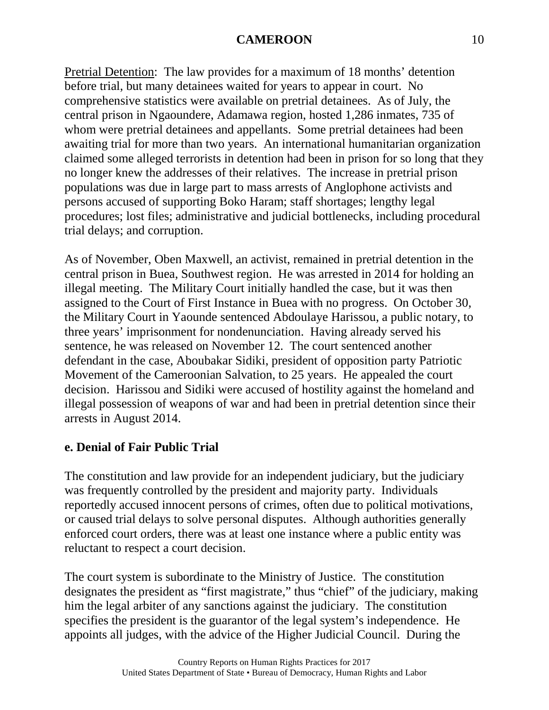Pretrial Detention: The law provides for a maximum of 18 months' detention before trial, but many detainees waited for years to appear in court. No comprehensive statistics were available on pretrial detainees. As of July, the central prison in Ngaoundere, Adamawa region, hosted 1,286 inmates, 735 of whom were pretrial detainees and appellants. Some pretrial detainees had been awaiting trial for more than two years. An international humanitarian organization claimed some alleged terrorists in detention had been in prison for so long that they no longer knew the addresses of their relatives. The increase in pretrial prison populations was due in large part to mass arrests of Anglophone activists and persons accused of supporting Boko Haram; staff shortages; lengthy legal procedures; lost files; administrative and judicial bottlenecks, including procedural trial delays; and corruption.

As of November, Oben Maxwell, an activist, remained in pretrial detention in the central prison in Buea, Southwest region. He was arrested in 2014 for holding an illegal meeting. The Military Court initially handled the case, but it was then assigned to the Court of First Instance in Buea with no progress. On October 30, the Military Court in Yaounde sentenced Abdoulaye Harissou, a public notary, to three years' imprisonment for nondenunciation. Having already served his sentence, he was released on November 12. The court sentenced another defendant in the case, Aboubakar Sidiki, president of opposition party Patriotic Movement of the Cameroonian Salvation, to 25 years. He appealed the court decision. Harissou and Sidiki were accused of hostility against the homeland and illegal possession of weapons of war and had been in pretrial detention since their arrests in August 2014.

# **e. Denial of Fair Public Trial**

The constitution and law provide for an independent judiciary, but the judiciary was frequently controlled by the president and majority party. Individuals reportedly accused innocent persons of crimes, often due to political motivations, or caused trial delays to solve personal disputes. Although authorities generally enforced court orders, there was at least one instance where a public entity was reluctant to respect a court decision.

The court system is subordinate to the Ministry of Justice. The constitution designates the president as "first magistrate," thus "chief" of the judiciary, making him the legal arbiter of any sanctions against the judiciary. The constitution specifies the president is the guarantor of the legal system's independence. He appoints all judges, with the advice of the Higher Judicial Council. During the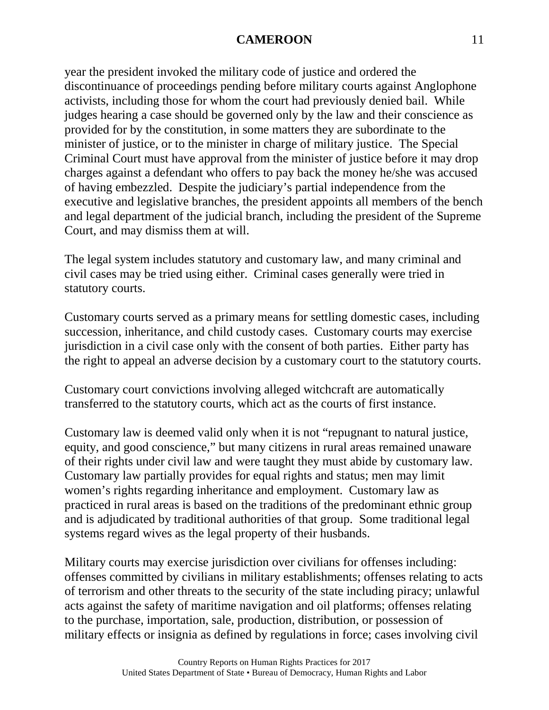year the president invoked the military code of justice and ordered the discontinuance of proceedings pending before military courts against Anglophone activists, including those for whom the court had previously denied bail. While judges hearing a case should be governed only by the law and their conscience as provided for by the constitution, in some matters they are subordinate to the minister of justice, or to the minister in charge of military justice. The Special Criminal Court must have approval from the minister of justice before it may drop charges against a defendant who offers to pay back the money he/she was accused of having embezzled. Despite the judiciary's partial independence from the executive and legislative branches, the president appoints all members of the bench and legal department of the judicial branch, including the president of the Supreme Court, and may dismiss them at will.

The legal system includes statutory and customary law, and many criminal and civil cases may be tried using either. Criminal cases generally were tried in statutory courts.

Customary courts served as a primary means for settling domestic cases, including succession, inheritance, and child custody cases. Customary courts may exercise jurisdiction in a civil case only with the consent of both parties. Either party has the right to appeal an adverse decision by a customary court to the statutory courts.

Customary court convictions involving alleged witchcraft are automatically transferred to the statutory courts, which act as the courts of first instance.

Customary law is deemed valid only when it is not "repugnant to natural justice, equity, and good conscience," but many citizens in rural areas remained unaware of their rights under civil law and were taught they must abide by customary law. Customary law partially provides for equal rights and status; men may limit women's rights regarding inheritance and employment. Customary law as practiced in rural areas is based on the traditions of the predominant ethnic group and is adjudicated by traditional authorities of that group. Some traditional legal systems regard wives as the legal property of their husbands.

Military courts may exercise jurisdiction over civilians for offenses including: offenses committed by civilians in military establishments; offenses relating to acts of terrorism and other threats to the security of the state including piracy; unlawful acts against the safety of maritime navigation and oil platforms; offenses relating to the purchase, importation, sale, production, distribution, or possession of military effects or insignia as defined by regulations in force; cases involving civil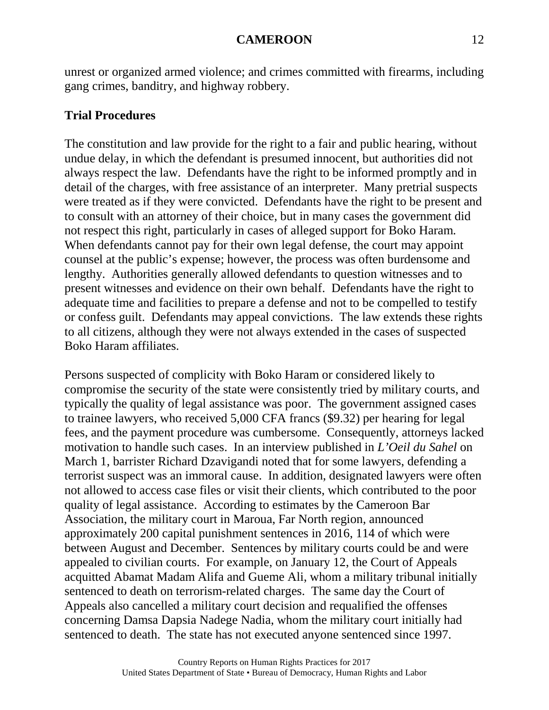unrest or organized armed violence; and crimes committed with firearms, including gang crimes, banditry, and highway robbery.

### **Trial Procedures**

The constitution and law provide for the right to a fair and public hearing, without undue delay, in which the defendant is presumed innocent, but authorities did not always respect the law. Defendants have the right to be informed promptly and in detail of the charges, with free assistance of an interpreter. Many pretrial suspects were treated as if they were convicted. Defendants have the right to be present and to consult with an attorney of their choice, but in many cases the government did not respect this right, particularly in cases of alleged support for Boko Haram. When defendants cannot pay for their own legal defense, the court may appoint counsel at the public's expense; however, the process was often burdensome and lengthy. Authorities generally allowed defendants to question witnesses and to present witnesses and evidence on their own behalf. Defendants have the right to adequate time and facilities to prepare a defense and not to be compelled to testify or confess guilt. Defendants may appeal convictions. The law extends these rights to all citizens, although they were not always extended in the cases of suspected Boko Haram affiliates.

Persons suspected of complicity with Boko Haram or considered likely to compromise the security of the state were consistently tried by military courts, and typically the quality of legal assistance was poor. The government assigned cases to trainee lawyers, who received 5,000 CFA francs (\$9.32) per hearing for legal fees, and the payment procedure was cumbersome. Consequently, attorneys lacked motivation to handle such cases. In an interview published in *L'Oeil du Sahel* on March 1, barrister Richard Dzavigandi noted that for some lawyers, defending a terrorist suspect was an immoral cause. In addition, designated lawyers were often not allowed to access case files or visit their clients, which contributed to the poor quality of legal assistance. According to estimates by the Cameroon Bar Association, the military court in Maroua, Far North region, announced approximately 200 capital punishment sentences in 2016, 114 of which were between August and December. Sentences by military courts could be and were appealed to civilian courts. For example, on January 12, the Court of Appeals acquitted Abamat Madam Alifa and Gueme Ali, whom a military tribunal initially sentenced to death on terrorism-related charges. The same day the Court of Appeals also cancelled a military court decision and requalified the offenses concerning Damsa Dapsia Nadege Nadia, whom the military court initially had sentenced to death. The state has not executed anyone sentenced since 1997.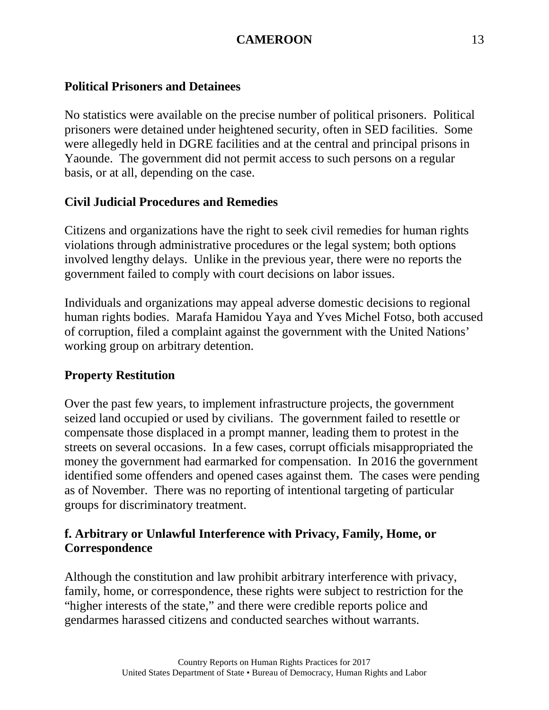# **Political Prisoners and Detainees**

No statistics were available on the precise number of political prisoners. Political prisoners were detained under heightened security, often in SED facilities. Some were allegedly held in DGRE facilities and at the central and principal prisons in Yaounde. The government did not permit access to such persons on a regular basis, or at all, depending on the case.

# **Civil Judicial Procedures and Remedies**

Citizens and organizations have the right to seek civil remedies for human rights violations through administrative procedures or the legal system; both options involved lengthy delays. Unlike in the previous year, there were no reports the government failed to comply with court decisions on labor issues.

Individuals and organizations may appeal adverse domestic decisions to regional human rights bodies. Marafa Hamidou Yaya and Yves Michel Fotso, both accused of corruption, filed a complaint against the government with the United Nations' working group on arbitrary detention.

# **Property Restitution**

Over the past few years, to implement infrastructure projects, the government seized land occupied or used by civilians. The government failed to resettle or compensate those displaced in a prompt manner, leading them to protest in the streets on several occasions. In a few cases, corrupt officials misappropriated the money the government had earmarked for compensation. In 2016 the government identified some offenders and opened cases against them. The cases were pending as of November. There was no reporting of intentional targeting of particular groups for discriminatory treatment.

# **f. Arbitrary or Unlawful Interference with Privacy, Family, Home, or Correspondence**

Although the constitution and law prohibit arbitrary interference with privacy, family, home, or correspondence, these rights were subject to restriction for the "higher interests of the state," and there were credible reports police and gendarmes harassed citizens and conducted searches without warrants.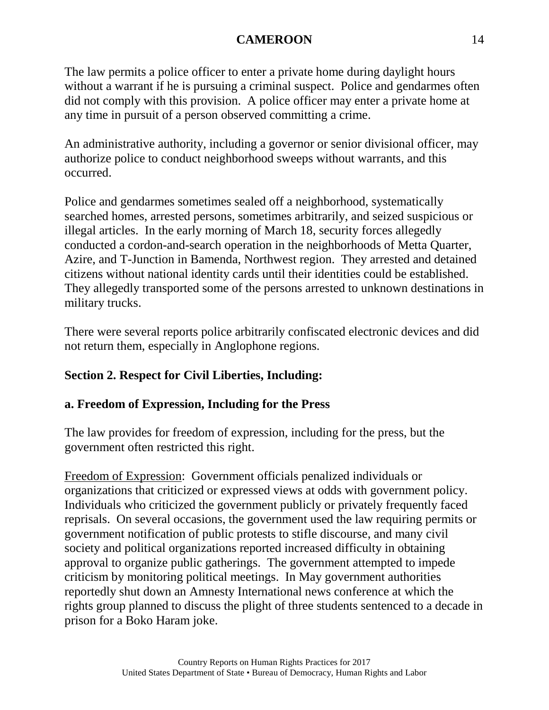The law permits a police officer to enter a private home during daylight hours without a warrant if he is pursuing a criminal suspect. Police and gendarmes often did not comply with this provision. A police officer may enter a private home at any time in pursuit of a person observed committing a crime.

An administrative authority, including a governor or senior divisional officer, may authorize police to conduct neighborhood sweeps without warrants, and this occurred.

Police and gendarmes sometimes sealed off a neighborhood, systematically searched homes, arrested persons, sometimes arbitrarily, and seized suspicious or illegal articles. In the early morning of March 18, security forces allegedly conducted a cordon-and-search operation in the neighborhoods of Metta Quarter, Azire, and T-Junction in Bamenda, Northwest region. They arrested and detained citizens without national identity cards until their identities could be established. They allegedly transported some of the persons arrested to unknown destinations in military trucks.

There were several reports police arbitrarily confiscated electronic devices and did not return them, especially in Anglophone regions.

# **Section 2. Respect for Civil Liberties, Including:**

# **a. Freedom of Expression, Including for the Press**

The law provides for freedom of expression, including for the press, but the government often restricted this right.

Freedom of Expression: Government officials penalized individuals or organizations that criticized or expressed views at odds with government policy. Individuals who criticized the government publicly or privately frequently faced reprisals. On several occasions, the government used the law requiring permits or government notification of public protests to stifle discourse, and many civil society and political organizations reported increased difficulty in obtaining approval to organize public gatherings. The government attempted to impede criticism by monitoring political meetings. In May government authorities reportedly shut down an Amnesty International news conference at which the rights group planned to discuss the plight of three students sentenced to a decade in prison for a Boko Haram joke.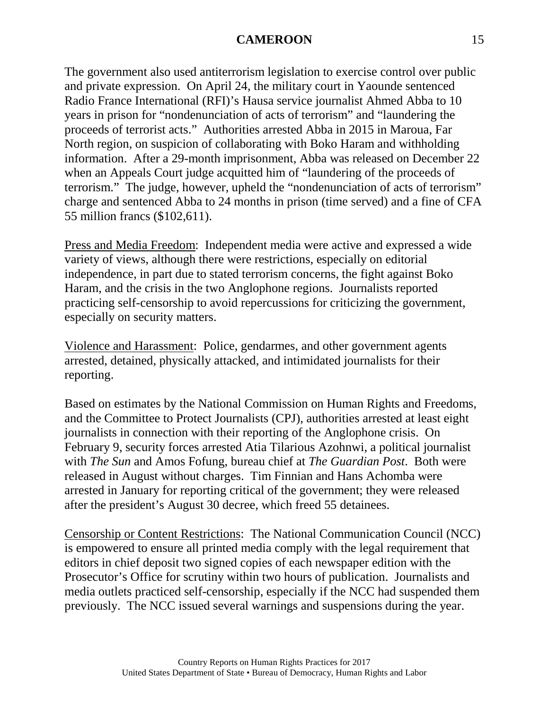The government also used antiterrorism legislation to exercise control over public and private expression. On April 24, the military court in Yaounde sentenced Radio France International (RFI)'s Hausa service journalist Ahmed Abba to 10 years in prison for "nondenunciation of acts of terrorism" and "laundering the proceeds of terrorist acts." Authorities arrested Abba in 2015 in Maroua, Far North region, on suspicion of collaborating with Boko Haram and withholding information. After a 29-month imprisonment, Abba was released on December 22 when an Appeals Court judge acquitted him of "laundering of the proceeds of terrorism." The judge, however, upheld the "nondenunciation of acts of terrorism" charge and sentenced Abba to 24 months in prison (time served) and a fine of CFA 55 million francs (\$102,611).

Press and Media Freedom: Independent media were active and expressed a wide variety of views, although there were restrictions, especially on editorial independence, in part due to stated terrorism concerns, the fight against Boko Haram, and the crisis in the two Anglophone regions. Journalists reported practicing self-censorship to avoid repercussions for criticizing the government, especially on security matters.

Violence and Harassment: Police, gendarmes, and other government agents arrested, detained, physically attacked, and intimidated journalists for their reporting.

Based on estimates by the National Commission on Human Rights and Freedoms, and the Committee to Protect Journalists (CPJ), authorities arrested at least eight journalists in connection with their reporting of the Anglophone crisis. On February 9, security forces arrested Atia Tilarious Azohnwi, a political journalist with *The Sun* and Amos Fofung, bureau chief at *The Guardian Post*. Both were released in August without charges. Tim Finnian and Hans Achomba were arrested in January for reporting critical of the government; they were released after the president's August 30 decree, which freed 55 detainees.

Censorship or Content Restrictions: The National Communication Council (NCC) is empowered to ensure all printed media comply with the legal requirement that editors in chief deposit two signed copies of each newspaper edition with the Prosecutor's Office for scrutiny within two hours of publication. Journalists and media outlets practiced self-censorship, especially if the NCC had suspended them previously. The NCC issued several warnings and suspensions during the year.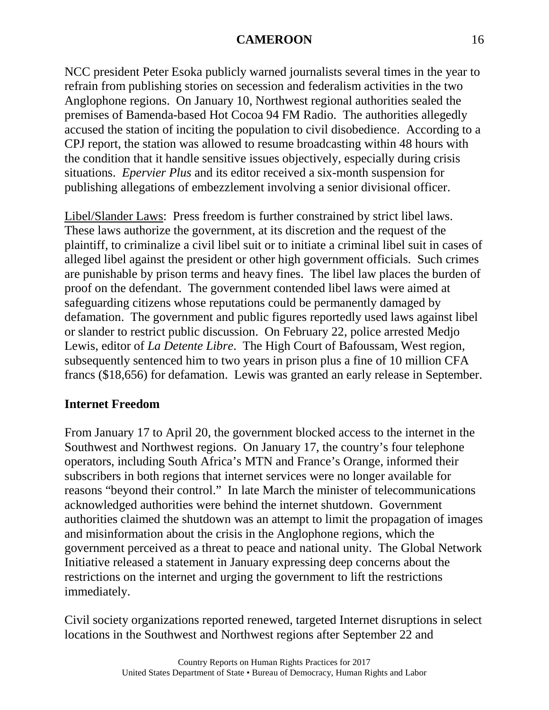NCC president Peter Esoka publicly warned journalists several times in the year to refrain from publishing stories on secession and federalism activities in the two Anglophone regions. On January 10, Northwest regional authorities sealed the premises of Bamenda-based Hot Cocoa 94 FM Radio. The authorities allegedly accused the station of inciting the population to civil disobedience. According to a CPJ report, the station was allowed to resume broadcasting within 48 hours with the condition that it handle sensitive issues objectively, especially during crisis situations. *Epervier Plus* and its editor received a six-month suspension for publishing allegations of embezzlement involving a senior divisional officer.

Libel/Slander Laws: Press freedom is further constrained by strict libel laws. These laws authorize the government, at its discretion and the request of the plaintiff, to criminalize a civil libel suit or to initiate a criminal libel suit in cases of alleged libel against the president or other high government officials. Such crimes are punishable by prison terms and heavy fines. The libel law places the burden of proof on the defendant. The government contended libel laws were aimed at safeguarding citizens whose reputations could be permanently damaged by defamation. The government and public figures reportedly used laws against libel or slander to restrict public discussion. On February 22, police arrested Medjo Lewis, editor of *La Detente Libre*. The High Court of Bafoussam, West region, subsequently sentenced him to two years in prison plus a fine of 10 million CFA francs (\$18,656) for defamation. Lewis was granted an early release in September.

### **Internet Freedom**

From January 17 to April 20, the government blocked access to the internet in the Southwest and Northwest regions. On January 17, the country's four telephone operators, including South Africa's MTN and France's Orange, informed their subscribers in both regions that internet services were no longer available for reasons "beyond their control." In late March the minister of telecommunications acknowledged authorities were behind the internet shutdown. Government authorities claimed the shutdown was an attempt to limit the propagation of images and misinformation about the crisis in the Anglophone regions, which the government perceived as a threat to peace and national unity. The Global Network Initiative released a statement in January expressing deep concerns about the restrictions on the internet and urging the government to lift the restrictions immediately.

Civil society organizations reported renewed, targeted Internet disruptions in select locations in the Southwest and Northwest regions after September 22 and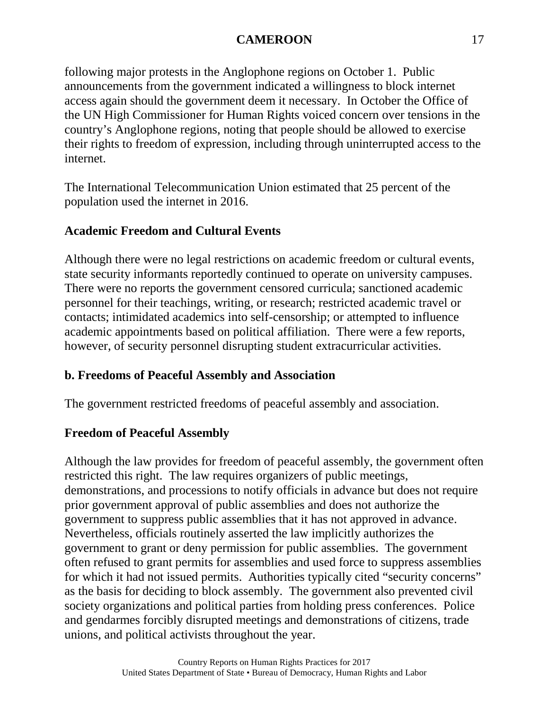following major protests in the Anglophone regions on October 1. Public announcements from the government indicated a willingness to block internet access again should the government deem it necessary. In October the Office of the UN High Commissioner for Human Rights voiced concern over tensions in the country's Anglophone regions, noting that people should be allowed to exercise their rights to freedom of expression, including through uninterrupted access to the internet.

The International Telecommunication Union estimated that 25 percent of the population used the internet in 2016.

# **Academic Freedom and Cultural Events**

Although there were no legal restrictions on academic freedom or cultural events, state security informants reportedly continued to operate on university campuses. There were no reports the government censored curricula; sanctioned academic personnel for their teachings, writing, or research; restricted academic travel or contacts; intimidated academics into self-censorship; or attempted to influence academic appointments based on political affiliation. There were a few reports, however, of security personnel disrupting student extracurricular activities.

### **b. Freedoms of Peaceful Assembly and Association**

The government restricted freedoms of peaceful assembly and association.

### **Freedom of Peaceful Assembly**

Although the law provides for freedom of peaceful assembly, the government often restricted this right. The law requires organizers of public meetings, demonstrations, and processions to notify officials in advance but does not require prior government approval of public assemblies and does not authorize the government to suppress public assemblies that it has not approved in advance. Nevertheless, officials routinely asserted the law implicitly authorizes the government to grant or deny permission for public assemblies. The government often refused to grant permits for assemblies and used force to suppress assemblies for which it had not issued permits. Authorities typically cited "security concerns" as the basis for deciding to block assembly. The government also prevented civil society organizations and political parties from holding press conferences. Police and gendarmes forcibly disrupted meetings and demonstrations of citizens, trade unions, and political activists throughout the year.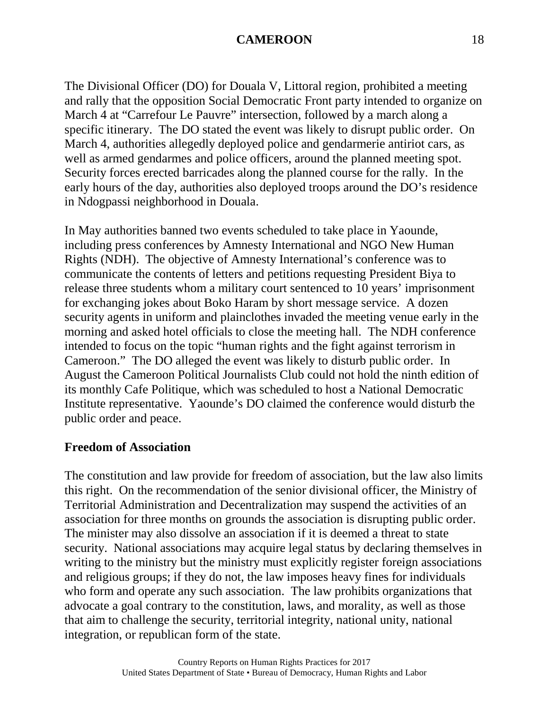The Divisional Officer (DO) for Douala V, Littoral region, prohibited a meeting and rally that the opposition Social Democratic Front party intended to organize on March 4 at "Carrefour Le Pauvre" intersection, followed by a march along a specific itinerary. The DO stated the event was likely to disrupt public order. On March 4, authorities allegedly deployed police and gendarmerie antiriot cars, as well as armed gendarmes and police officers, around the planned meeting spot. Security forces erected barricades along the planned course for the rally. In the early hours of the day, authorities also deployed troops around the DO's residence in Ndogpassi neighborhood in Douala.

In May authorities banned two events scheduled to take place in Yaounde, including press conferences by Amnesty International and NGO New Human Rights (NDH). The objective of Amnesty International's conference was to communicate the contents of letters and petitions requesting President Biya to release three students whom a military court sentenced to 10 years' imprisonment for exchanging jokes about Boko Haram by short message service. A dozen security agents in uniform and plainclothes invaded the meeting venue early in the morning and asked hotel officials to close the meeting hall. The NDH conference intended to focus on the topic "human rights and the fight against terrorism in Cameroon." The DO alleged the event was likely to disturb public order. In August the Cameroon Political Journalists Club could not hold the ninth edition of its monthly Cafe Politique, which was scheduled to host a National Democratic Institute representative. Yaounde's DO claimed the conference would disturb the public order and peace.

#### **Freedom of Association**

The constitution and law provide for freedom of association, but the law also limits this right. On the recommendation of the senior divisional officer, the Ministry of Territorial Administration and Decentralization may suspend the activities of an association for three months on grounds the association is disrupting public order. The minister may also dissolve an association if it is deemed a threat to state security. National associations may acquire legal status by declaring themselves in writing to the ministry but the ministry must explicitly register foreign associations and religious groups; if they do not, the law imposes heavy fines for individuals who form and operate any such association. The law prohibits organizations that advocate a goal contrary to the constitution, laws, and morality, as well as those that aim to challenge the security, territorial integrity, national unity, national integration, or republican form of the state.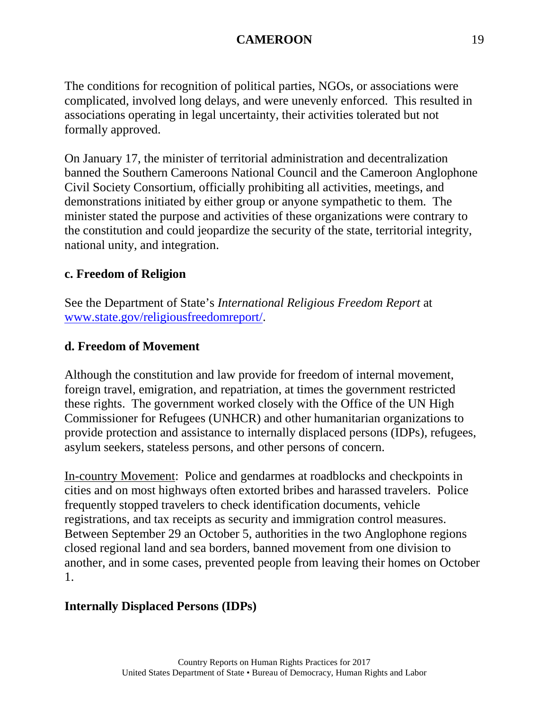The conditions for recognition of political parties, NGOs, or associations were complicated, involved long delays, and were unevenly enforced. This resulted in associations operating in legal uncertainty, their activities tolerated but not formally approved.

On January 17, the minister of territorial administration and decentralization banned the Southern Cameroons National Council and the Cameroon Anglophone Civil Society Consortium, officially prohibiting all activities, meetings, and demonstrations initiated by either group or anyone sympathetic to them. The minister stated the purpose and activities of these organizations were contrary to the constitution and could jeopardize the security of the state, territorial integrity, national unity, and integration.

#### **c. Freedom of Religion**

See the Department of State's *International Religious Freedom Report* at [www.state.gov/religiousfreedomreport/.](http://www.state.gov/religiousfreedomreport/)

#### **d. Freedom of Movement**

Although the constitution and law provide for freedom of internal movement, foreign travel, emigration, and repatriation, at times the government restricted these rights. The government worked closely with the Office of the UN High Commissioner for Refugees (UNHCR) and other humanitarian organizations to provide protection and assistance to internally displaced persons (IDPs), refugees, asylum seekers, stateless persons, and other persons of concern.

In-country Movement: Police and gendarmes at roadblocks and checkpoints in cities and on most highways often extorted bribes and harassed travelers. Police frequently stopped travelers to check identification documents, vehicle registrations, and tax receipts as security and immigration control measures. Between September 29 an October 5, authorities in the two Anglophone regions closed regional land and sea borders, banned movement from one division to another, and in some cases, prevented people from leaving their homes on October 1.

#### **Internally Displaced Persons (IDPs)**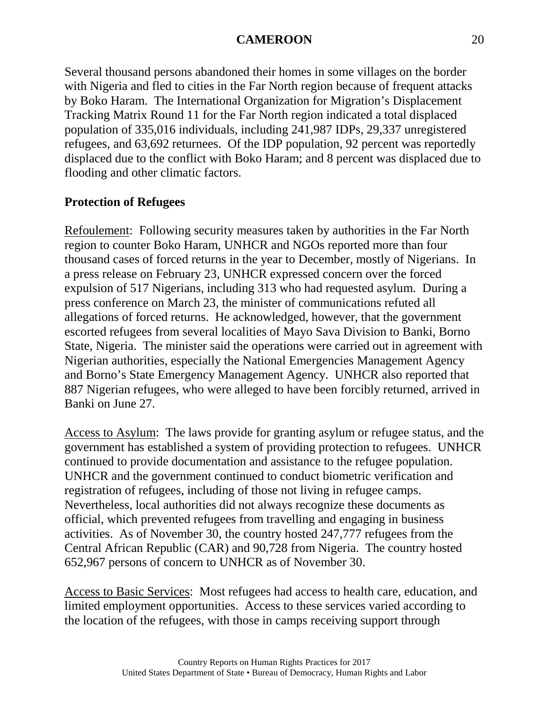Several thousand persons abandoned their homes in some villages on the border with Nigeria and fled to cities in the Far North region because of frequent attacks by Boko Haram. The International Organization for Migration's Displacement Tracking Matrix Round 11 for the Far North region indicated a total displaced population of 335,016 individuals, including 241,987 IDPs, 29,337 unregistered refugees, and 63,692 returnees. Of the IDP population, 92 percent was reportedly displaced due to the conflict with Boko Haram; and 8 percent was displaced due to flooding and other climatic factors.

# **Protection of Refugees**

Refoulement: Following security measures taken by authorities in the Far North region to counter Boko Haram, UNHCR and NGOs reported more than four thousand cases of forced returns in the year to December, mostly of Nigerians. In a press release on February 23, UNHCR expressed concern over the forced expulsion of 517 Nigerians, including 313 who had requested asylum. During a press conference on March 23, the minister of communications refuted all allegations of forced returns. He acknowledged, however, that the government escorted refugees from several localities of Mayo Sava Division to Banki, Borno State, Nigeria. The minister said the operations were carried out in agreement with Nigerian authorities, especially the National Emergencies Management Agency and Borno's State Emergency Management Agency. UNHCR also reported that 887 Nigerian refugees, who were alleged to have been forcibly returned, arrived in Banki on June 27.

Access to Asylum: The laws provide for granting asylum or refugee status, and the government has established a system of providing protection to refugees. UNHCR continued to provide documentation and assistance to the refugee population. UNHCR and the government continued to conduct biometric verification and registration of refugees, including of those not living in refugee camps. Nevertheless, local authorities did not always recognize these documents as official, which prevented refugees from travelling and engaging in business activities. As of November 30, the country hosted 247,777 refugees from the Central African Republic (CAR) and 90,728 from Nigeria. The country hosted 652,967 persons of concern to UNHCR as of November 30.

Access to Basic Services: Most refugees had access to health care, education, and limited employment opportunities. Access to these services varied according to the location of the refugees, with those in camps receiving support through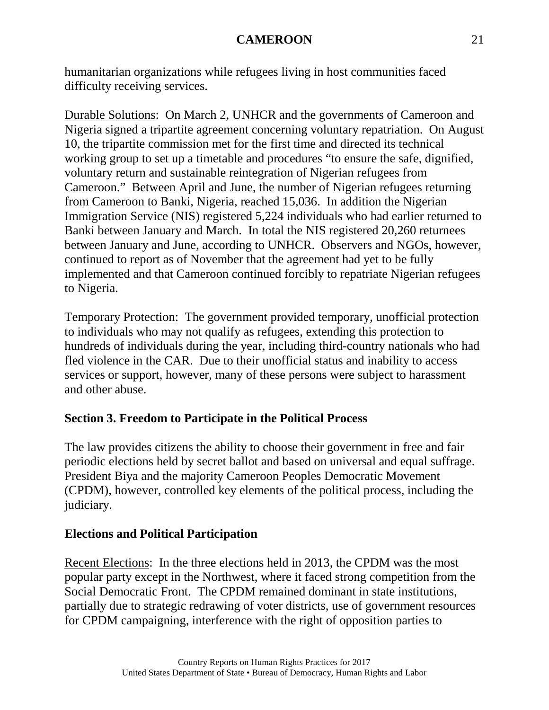humanitarian organizations while refugees living in host communities faced difficulty receiving services.

Durable Solutions: On March 2, UNHCR and the governments of Cameroon and Nigeria signed a tripartite agreement concerning voluntary repatriation. On August 10, the tripartite commission met for the first time and directed its technical working group to set up a timetable and procedures "to ensure the safe, dignified, voluntary return and sustainable reintegration of Nigerian refugees from Cameroon." Between April and June, the number of Nigerian refugees returning from Cameroon to Banki, Nigeria, reached 15,036. In addition the Nigerian Immigration Service (NIS) registered 5,224 individuals who had earlier returned to Banki between January and March. In total the NIS registered 20,260 returnees between January and June, according to UNHCR. Observers and NGOs, however, continued to report as of November that the agreement had yet to be fully implemented and that Cameroon continued forcibly to repatriate Nigerian refugees to Nigeria.

Temporary Protection: The government provided temporary, unofficial protection to individuals who may not qualify as refugees, extending this protection to hundreds of individuals during the year, including third-country nationals who had fled violence in the CAR. Due to their unofficial status and inability to access services or support, however, many of these persons were subject to harassment and other abuse.

# **Section 3. Freedom to Participate in the Political Process**

The law provides citizens the ability to choose their government in free and fair periodic elections held by secret ballot and based on universal and equal suffrage. President Biya and the majority Cameroon Peoples Democratic Movement (CPDM), however, controlled key elements of the political process, including the judiciary.

### **Elections and Political Participation**

Recent Elections: In the three elections held in 2013, the CPDM was the most popular party except in the Northwest, where it faced strong competition from the Social Democratic Front. The CPDM remained dominant in state institutions, partially due to strategic redrawing of voter districts, use of government resources for CPDM campaigning, interference with the right of opposition parties to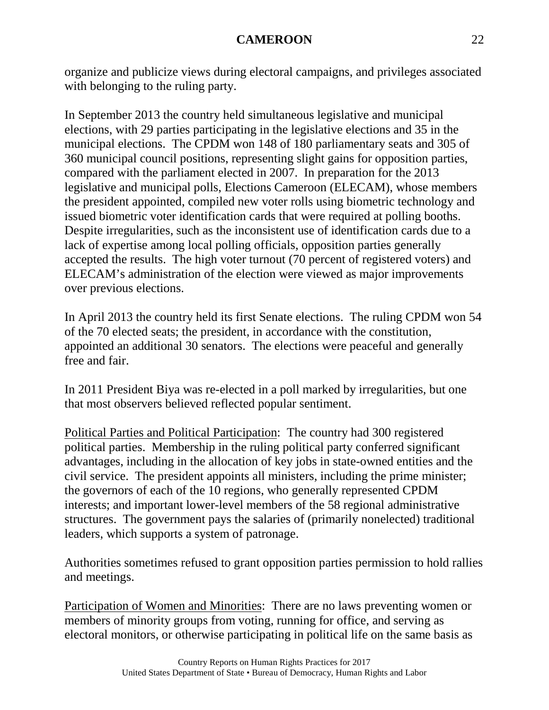organize and publicize views during electoral campaigns, and privileges associated with belonging to the ruling party.

In September 2013 the country held simultaneous legislative and municipal elections, with 29 parties participating in the legislative elections and 35 in the municipal elections. The CPDM won 148 of 180 parliamentary seats and 305 of 360 municipal council positions, representing slight gains for opposition parties, compared with the parliament elected in 2007. In preparation for the 2013 legislative and municipal polls, Elections Cameroon (ELECAM), whose members the president appointed, compiled new voter rolls using biometric technology and issued biometric voter identification cards that were required at polling booths. Despite irregularities, such as the inconsistent use of identification cards due to a lack of expertise among local polling officials, opposition parties generally accepted the results. The high voter turnout (70 percent of registered voters) and ELECAM's administration of the election were viewed as major improvements over previous elections.

In April 2013 the country held its first Senate elections. The ruling CPDM won 54 of the 70 elected seats; the president, in accordance with the constitution, appointed an additional 30 senators. The elections were peaceful and generally free and fair.

In 2011 President Biya was re-elected in a poll marked by irregularities, but one that most observers believed reflected popular sentiment.

Political Parties and Political Participation: The country had 300 registered political parties. Membership in the ruling political party conferred significant advantages, including in the allocation of key jobs in state-owned entities and the civil service. The president appoints all ministers, including the prime minister; the governors of each of the 10 regions, who generally represented CPDM interests; and important lower-level members of the 58 regional administrative structures. The government pays the salaries of (primarily nonelected) traditional leaders, which supports a system of patronage.

Authorities sometimes refused to grant opposition parties permission to hold rallies and meetings.

Participation of Women and Minorities: There are no laws preventing women or members of minority groups from voting, running for office, and serving as electoral monitors, or otherwise participating in political life on the same basis as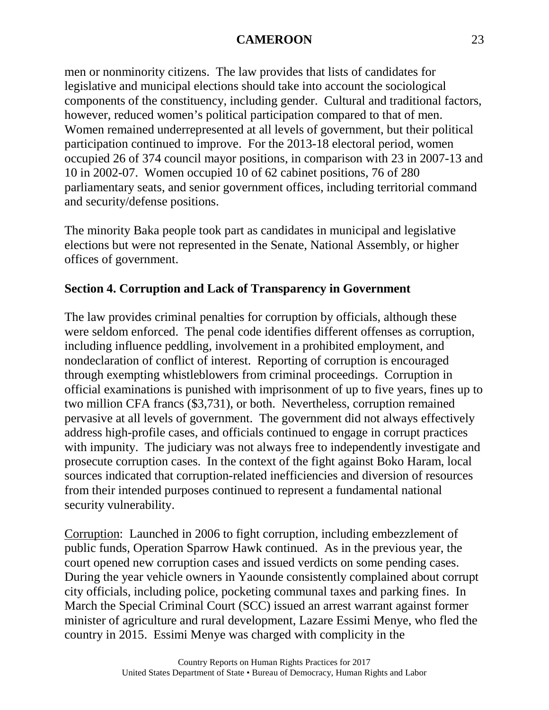men or nonminority citizens. The law provides that lists of candidates for legislative and municipal elections should take into account the sociological components of the constituency, including gender. Cultural and traditional factors, however, reduced women's political participation compared to that of men. Women remained underrepresented at all levels of government, but their political participation continued to improve. For the 2013-18 electoral period, women occupied 26 of 374 council mayor positions, in comparison with 23 in 2007-13 and 10 in 2002-07. Women occupied 10 of 62 cabinet positions, 76 of 280 parliamentary seats, and senior government offices, including territorial command and security/defense positions.

The minority Baka people took part as candidates in municipal and legislative elections but were not represented in the Senate, National Assembly, or higher offices of government.

### **Section 4. Corruption and Lack of Transparency in Government**

The law provides criminal penalties for corruption by officials, although these were seldom enforced. The penal code identifies different offenses as corruption, including influence peddling, involvement in a prohibited employment, and nondeclaration of conflict of interest. Reporting of corruption is encouraged through exempting whistleblowers from criminal proceedings. Corruption in official examinations is punished with imprisonment of up to five years, fines up to two million CFA francs (\$3,731), or both. Nevertheless, corruption remained pervasive at all levels of government. The government did not always effectively address high-profile cases, and officials continued to engage in corrupt practices with impunity. The judiciary was not always free to independently investigate and prosecute corruption cases. In the context of the fight against Boko Haram, local sources indicated that corruption-related inefficiencies and diversion of resources from their intended purposes continued to represent a fundamental national security vulnerability.

Corruption: Launched in 2006 to fight corruption, including embezzlement of public funds, Operation Sparrow Hawk continued. As in the previous year, the court opened new corruption cases and issued verdicts on some pending cases. During the year vehicle owners in Yaounde consistently complained about corrupt city officials, including police, pocketing communal taxes and parking fines. In March the Special Criminal Court (SCC) issued an arrest warrant against former minister of agriculture and rural development, Lazare Essimi Menye, who fled the country in 2015. Essimi Menye was charged with complicity in the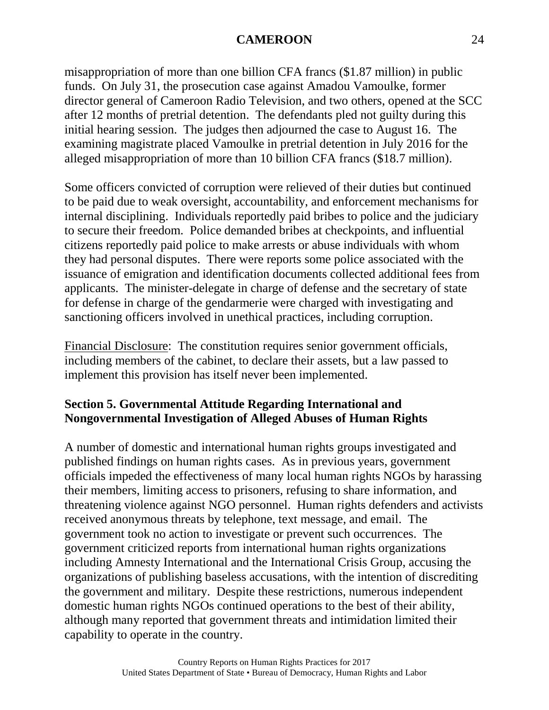misappropriation of more than one billion CFA francs (\$1.87 million) in public funds. On July 31, the prosecution case against Amadou Vamoulke, former director general of Cameroon Radio Television, and two others, opened at the SCC after 12 months of pretrial detention. The defendants pled not guilty during this initial hearing session. The judges then adjourned the case to August 16. The examining magistrate placed Vamoulke in pretrial detention in July 2016 for the alleged misappropriation of more than 10 billion CFA francs (\$18.7 million).

Some officers convicted of corruption were relieved of their duties but continued to be paid due to weak oversight, accountability, and enforcement mechanisms for internal disciplining. Individuals reportedly paid bribes to police and the judiciary to secure their freedom. Police demanded bribes at checkpoints, and influential citizens reportedly paid police to make arrests or abuse individuals with whom they had personal disputes. There were reports some police associated with the issuance of emigration and identification documents collected additional fees from applicants. The minister-delegate in charge of defense and the secretary of state for defense in charge of the gendarmerie were charged with investigating and sanctioning officers involved in unethical practices, including corruption.

Financial Disclosure: The constitution requires senior government officials, including members of the cabinet, to declare their assets, but a law passed to implement this provision has itself never been implemented.

### **Section 5. Governmental Attitude Regarding International and Nongovernmental Investigation of Alleged Abuses of Human Rights**

A number of domestic and international human rights groups investigated and published findings on human rights cases. As in previous years, government officials impeded the effectiveness of many local human rights NGOs by harassing their members, limiting access to prisoners, refusing to share information, and threatening violence against NGO personnel. Human rights defenders and activists received anonymous threats by telephone, text message, and email. The government took no action to investigate or prevent such occurrences. The government criticized reports from international human rights organizations including Amnesty International and the International Crisis Group, accusing the organizations of publishing baseless accusations, with the intention of discrediting the government and military. Despite these restrictions, numerous independent domestic human rights NGOs continued operations to the best of their ability, although many reported that government threats and intimidation limited their capability to operate in the country.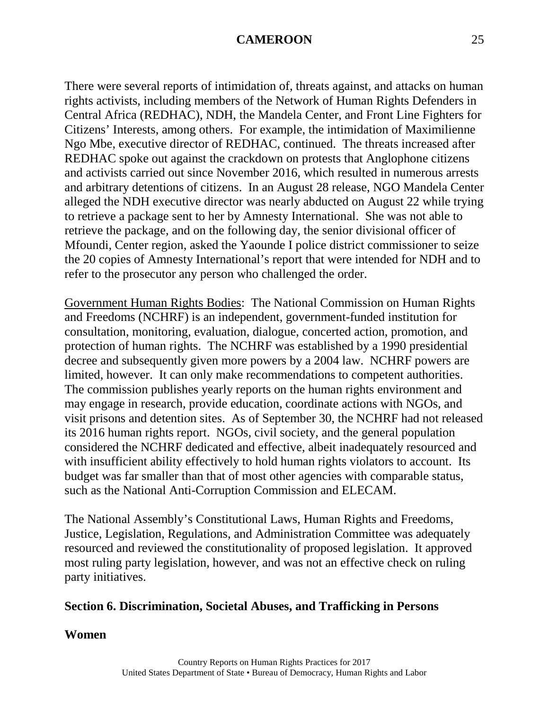There were several reports of intimidation of, threats against, and attacks on human rights activists, including members of the Network of Human Rights Defenders in Central Africa (REDHAC), NDH, the Mandela Center, and Front Line Fighters for Citizens' Interests, among others. For example, the intimidation of Maximilienne Ngo Mbe, executive director of REDHAC, continued. The threats increased after REDHAC spoke out against the crackdown on protests that Anglophone citizens and activists carried out since November 2016, which resulted in numerous arrests and arbitrary detentions of citizens. In an August 28 release, NGO Mandela Center alleged the NDH executive director was nearly abducted on August 22 while trying to retrieve a package sent to her by Amnesty International. She was not able to retrieve the package, and on the following day, the senior divisional officer of Mfoundi, Center region, asked the Yaounde I police district commissioner to seize the 20 copies of Amnesty International's report that were intended for NDH and to refer to the prosecutor any person who challenged the order.

Government Human Rights Bodies: The National Commission on Human Rights and Freedoms (NCHRF) is an independent, government-funded institution for consultation, monitoring, evaluation, dialogue, concerted action, promotion, and protection of human rights. The NCHRF was established by a 1990 presidential decree and subsequently given more powers by a 2004 law. NCHRF powers are limited, however. It can only make recommendations to competent authorities. The commission publishes yearly reports on the human rights environment and may engage in research, provide education, coordinate actions with NGOs, and visit prisons and detention sites. As of September 30, the NCHRF had not released its 2016 human rights report. NGOs, civil society, and the general population considered the NCHRF dedicated and effective, albeit inadequately resourced and with insufficient ability effectively to hold human rights violators to account. Its budget was far smaller than that of most other agencies with comparable status, such as the National Anti-Corruption Commission and ELECAM.

The National Assembly's Constitutional Laws, Human Rights and Freedoms, Justice, Legislation, Regulations, and Administration Committee was adequately resourced and reviewed the constitutionality of proposed legislation. It approved most ruling party legislation, however, and was not an effective check on ruling party initiatives.

#### **Section 6. Discrimination, Societal Abuses, and Trafficking in Persons**

#### **Women**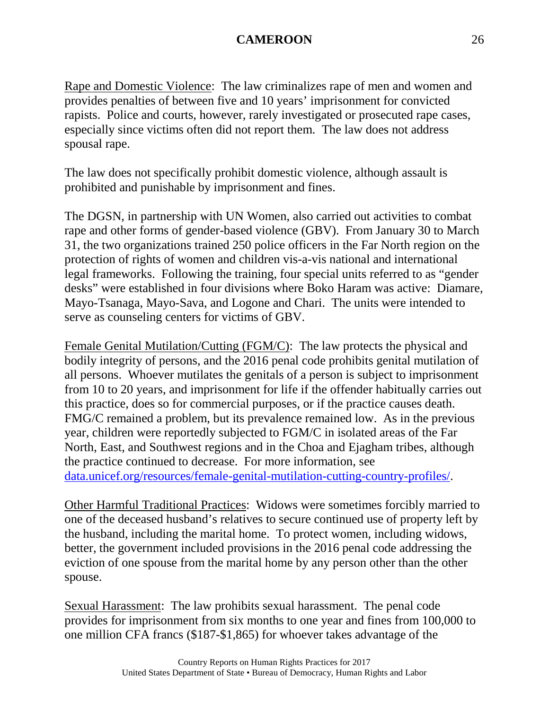Rape and Domestic Violence: The law criminalizes rape of men and women and provides penalties of between five and 10 years' imprisonment for convicted rapists. Police and courts, however, rarely investigated or prosecuted rape cases, especially since victims often did not report them. The law does not address spousal rape.

The law does not specifically prohibit domestic violence, although assault is prohibited and punishable by imprisonment and fines.

The DGSN, in partnership with UN Women, also carried out activities to combat rape and other forms of gender-based violence (GBV). From January 30 to March 31, the two organizations trained 250 police officers in the Far North region on the protection of rights of women and children vis-a-vis national and international legal frameworks. Following the training, four special units referred to as "gender desks" were established in four divisions where Boko Haram was active: Diamare, Mayo-Tsanaga, Mayo-Sava, and Logone and Chari. The units were intended to serve as counseling centers for victims of GBV.

Female Genital Mutilation/Cutting (FGM/C): The law protects the physical and bodily integrity of persons, and the 2016 penal code prohibits genital mutilation of all persons. Whoever mutilates the genitals of a person is subject to imprisonment from 10 to 20 years, and imprisonment for life if the offender habitually carries out this practice, does so for commercial purposes, or if the practice causes death. FMG/C remained a problem, but its prevalence remained low. As in the previous year, children were reportedly subjected to FGM/C in isolated areas of the Far North, East, and Southwest regions and in the Choa and Ejagham tribes, although the practice continued to decrease. For more information, se[e](https://data.unicef.org/resources/female-genital-mutilation-cutting-country-profiles/) [data.unicef.org/resources/female-genital-mutilation-cutting-country-profiles/.](https://data.unicef.org/resources/female-genital-mutilation-cutting-country-profiles/)

Other Harmful Traditional Practices: Widows were sometimes forcibly married to one of the deceased husband's relatives to secure continued use of property left by the husband, including the marital home. To protect women, including widows, better, the government included provisions in the 2016 penal code addressing the eviction of one spouse from the marital home by any person other than the other spouse.

Sexual Harassment: The law prohibits sexual harassment. The penal code provides for imprisonment from six months to one year and fines from 100,000 to one million CFA francs (\$187-\$1,865) for whoever takes advantage of the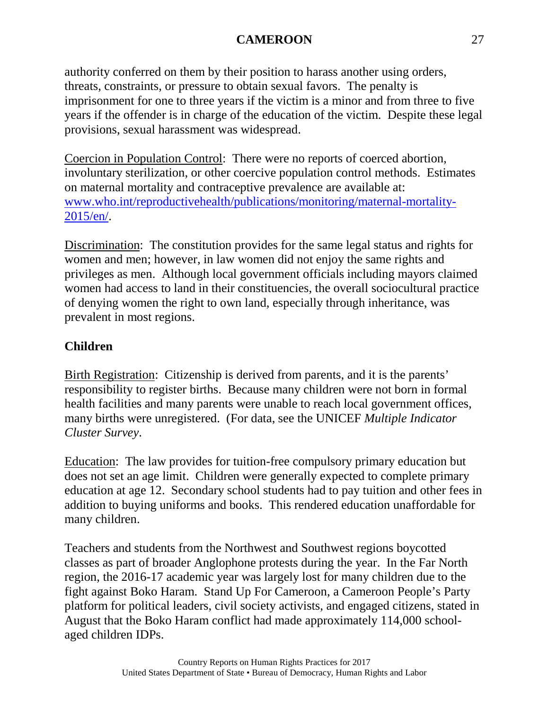authority conferred on them by their position to harass another using orders, threats, constraints, or pressure to obtain sexual favors. The penalty is imprisonment for one to three years if the victim is a minor and from three to five years if the offender is in charge of the education of the victim. Despite these legal provisions, sexual harassment was widespread.

Coercion in Population Control: There were no reports of coerced abortion, involuntary sterilization, or other coercive population control methods. Estimates on maternal mortality and contraceptive prevalence are available at: [www.who.int/reproductivehealth/publications/monitoring/maternal-mortality-](http://www.who.int/reproductivehealth/publications/monitoring/maternal-mortality-2015/en/)[2015/en/.](http://www.who.int/reproductivehealth/publications/monitoring/maternal-mortality-2015/en/)

Discrimination: The constitution provides for the same legal status and rights for women and men; however, in law women did not enjoy the same rights and privileges as men. Although local government officials including mayors claimed women had access to land in their constituencies, the overall sociocultural practice of denying women the right to own land, especially through inheritance, was prevalent in most regions.

# **Children**

Birth Registration: Citizenship is derived from parents, and it is the parents' responsibility to register births. Because many children were not born in formal health facilities and many parents were unable to reach local government offices, many births were unregistered. (For data, see the UNICEF *Multiple Indicator Cluster Survey*.

Education: The law provides for tuition-free compulsory primary education but does not set an age limit. Children were generally expected to complete primary education at age 12. Secondary school students had to pay tuition and other fees in addition to buying uniforms and books. This rendered education unaffordable for many children.

Teachers and students from the Northwest and Southwest regions boycotted classes as part of broader Anglophone protests during the year. In the Far North region, the 2016-17 academic year was largely lost for many children due to the fight against Boko Haram. Stand Up For Cameroon, a Cameroon People's Party platform for political leaders, civil society activists, and engaged citizens, stated in August that the Boko Haram conflict had made approximately 114,000 schoolaged children IDPs.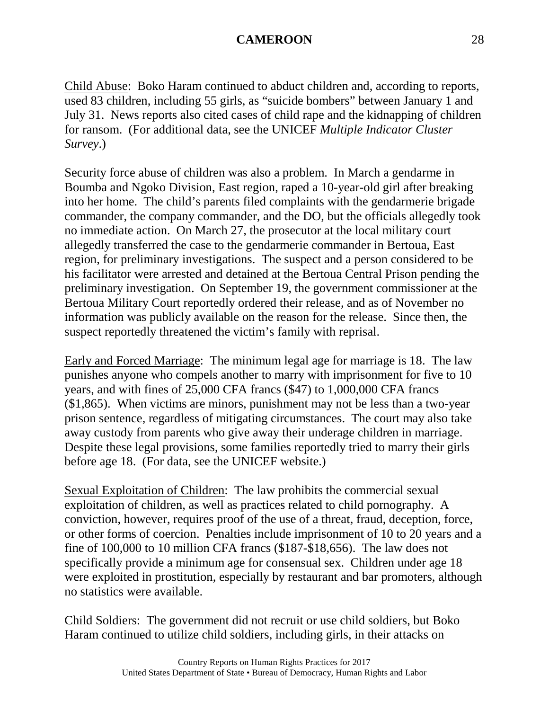Child Abuse: Boko Haram continued to abduct children and, according to reports, used 83 children, including 55 girls, as "suicide bombers" between January 1 and July 31. News reports also cited cases of child rape and the kidnapping of children for ransom. (For additional data, see the UNICEF *Multiple Indicator Cluster Survey*.)

Security force abuse of children was also a problem. In March a gendarme in Boumba and Ngoko Division, East region, raped a 10-year-old girl after breaking into her home. The child's parents filed complaints with the gendarmerie brigade commander, the company commander, and the DO, but the officials allegedly took no immediate action. On March 27, the prosecutor at the local military court allegedly transferred the case to the gendarmerie commander in Bertoua, East region, for preliminary investigations. The suspect and a person considered to be his facilitator were arrested and detained at the Bertoua Central Prison pending the preliminary investigation. On September 19, the government commissioner at the Bertoua Military Court reportedly ordered their release, and as of November no information was publicly available on the reason for the release. Since then, the suspect reportedly threatened the victim's family with reprisal.

Early and Forced Marriage: The minimum legal age for marriage is 18. The law punishes anyone who compels another to marry with imprisonment for five to 10 years, and with fines of 25,000 CFA francs (\$47) to 1,000,000 CFA francs (\$1,865). When victims are minors, punishment may not be less than a two-year prison sentence, regardless of mitigating circumstances. The court may also take away custody from parents who give away their underage children in marriage. Despite these legal provisions, some families reportedly tried to marry their girls before age 18. (For data, see the UNICEF website.)

Sexual Exploitation of Children: The law prohibits the commercial sexual exploitation of children, as well as practices related to child pornography. A conviction, however, requires proof of the use of a threat, fraud, deception, force, or other forms of coercion. Penalties include imprisonment of 10 to 20 years and a fine of 100,000 to 10 million CFA francs (\$187-\$18,656). The law does not specifically provide a minimum age for consensual sex. Children under age 18 were exploited in prostitution, especially by restaurant and bar promoters, although no statistics were available.

Child Soldiers: The government did not recruit or use child soldiers, but Boko Haram continued to utilize child soldiers, including girls, in their attacks on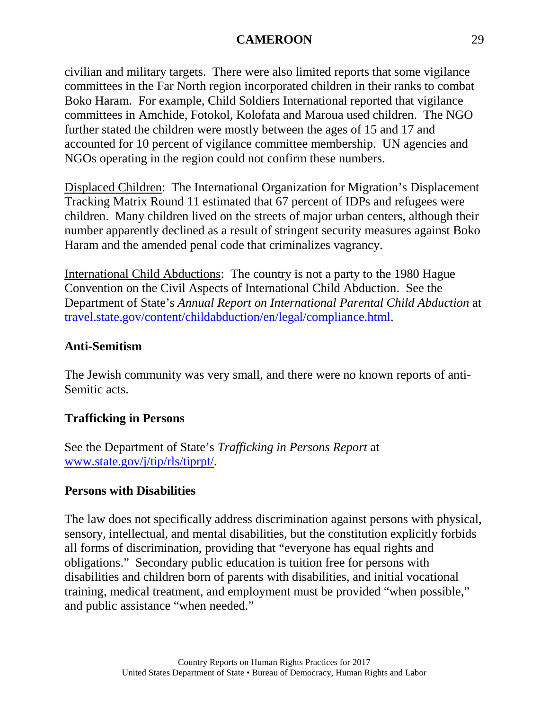civilian and military targets. There were also limited reports that some vigilance committees in the Far North region incorporated children in their ranks to combat Boko Haram. For example, Child Soldiers International reported that vigilance committees in Amchide, Fotokol, Kolofata and Maroua used children. The NGO further stated the children were mostly between the ages of 15 and 17 and accounted for 10 percent of vigilance committee membership. UN agencies and NGOs operating in the region could not confirm these numbers.

Displaced Children: The International Organization for Migration's Displacement Tracking Matrix Round 11 estimated that 67 percent of IDPs and refugees were children. Many children lived on the streets of major urban centers, although their number apparently declined as a result of stringent security measures against Boko Haram and the amended penal code that criminalizes vagrancy.

International Child Abductions: The country is not a party to the 1980 Hague Convention on the Civil Aspects of International Child Abduction. See the Department of State's *Annual Report on International Parental Child Abduction* at [travel.state.gov/content/childabduction/en/legal/compliance.html.](http://travel.state.gov/content/childabduction/en/legal/compliance.html)

### **Anti-Semitism**

The Jewish community was very small, and there were no known reports of anti-Semitic acts.

### **Trafficking in Persons**

See the Department of State's *Trafficking in Persons Report* at [www.state.gov/j/tip/rls/tiprpt/.](http://www.state.gov/j/tip/rls/tiprpt/)

### **Persons with Disabilities**

The law does not specifically address discrimination against persons with physical, sensory, intellectual, and mental disabilities, but the constitution explicitly forbids all forms of discrimination, providing that "everyone has equal rights and obligations." Secondary public education is tuition free for persons with disabilities and children born of parents with disabilities, and initial vocational training, medical treatment, and employment must be provided "when possible," and public assistance "when needed."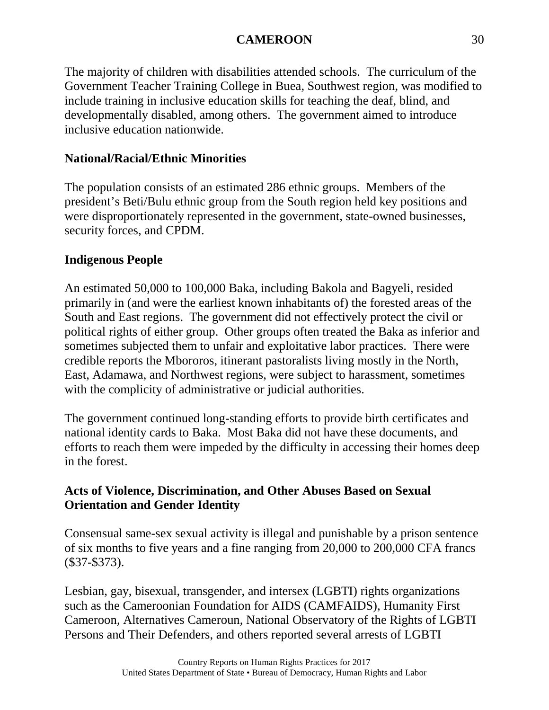The majority of children with disabilities attended schools. The curriculum of the Government Teacher Training College in Buea, Southwest region, was modified to include training in inclusive education skills for teaching the deaf, blind, and developmentally disabled, among others. The government aimed to introduce inclusive education nationwide.

# **National/Racial/Ethnic Minorities**

The population consists of an estimated 286 ethnic groups. Members of the president's Beti/Bulu ethnic group from the South region held key positions and were disproportionately represented in the government, state-owned businesses, security forces, and CPDM.

# **Indigenous People**

An estimated 50,000 to 100,000 Baka, including Bakola and Bagyeli, resided primarily in (and were the earliest known inhabitants of) the forested areas of the South and East regions. The government did not effectively protect the civil or political rights of either group. Other groups often treated the Baka as inferior and sometimes subjected them to unfair and exploitative labor practices. There were credible reports the Mbororos, itinerant pastoralists living mostly in the North, East, Adamawa, and Northwest regions, were subject to harassment, sometimes with the complicity of administrative or judicial authorities.

The government continued long-standing efforts to provide birth certificates and national identity cards to Baka. Most Baka did not have these documents, and efforts to reach them were impeded by the difficulty in accessing their homes deep in the forest.

### **Acts of Violence, Discrimination, and Other Abuses Based on Sexual Orientation and Gender Identity**

Consensual same-sex sexual activity is illegal and punishable by a prison sentence of six months to five years and a fine ranging from 20,000 to 200,000 CFA francs (\$37-\$373).

Lesbian, gay, bisexual, transgender, and intersex (LGBTI) rights organizations such as the Cameroonian Foundation for AIDS (CAMFAIDS), Humanity First Cameroon, Alternatives Cameroun, National Observatory of the Rights of LGBTI Persons and Their Defenders, and others reported several arrests of LGBTI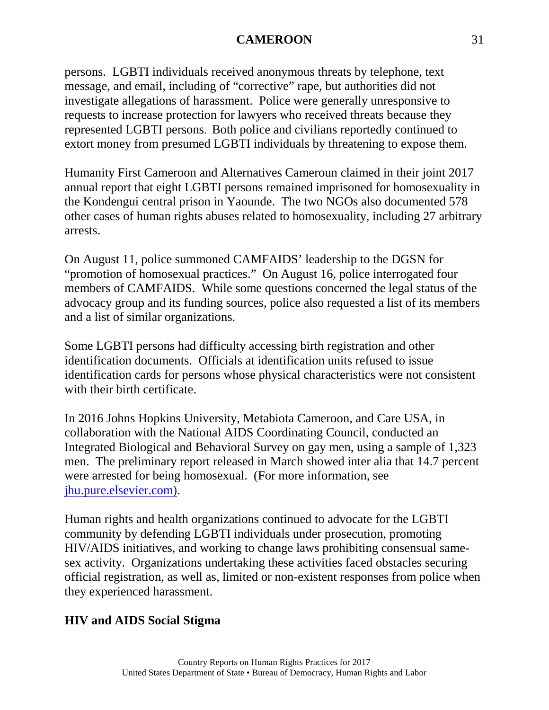persons. LGBTI individuals received anonymous threats by telephone, text message, and email, including of "corrective" rape, but authorities did not investigate allegations of harassment. Police were generally unresponsive to requests to increase protection for lawyers who received threats because they represented LGBTI persons. Both police and civilians reportedly continued to extort money from presumed LGBTI individuals by threatening to expose them.

Humanity First Cameroon and Alternatives Cameroun claimed in their joint 2017 annual report that eight LGBTI persons remained imprisoned for homosexuality in the Kondengui central prison in Yaounde. The two NGOs also documented 578 other cases of human rights abuses related to homosexuality, including 27 arbitrary arrests.

On August 11, police summoned CAMFAIDS' leadership to the DGSN for "promotion of homosexual practices." On August 16, police interrogated four members of CAMFAIDS. While some questions concerned the legal status of the advocacy group and its funding sources, police also requested a list of its members and a list of similar organizations.

Some LGBTI persons had difficulty accessing birth registration and other identification documents. Officials at identification units refused to issue identification cards for persons whose physical characteristics were not consistent with their birth certificate.

In 2016 Johns Hopkins University, Metabiota Cameroon, and Care USA, in collaboration with the National AIDS Coordinating Council, conducted an Integrated Biological and Behavioral Survey on gay men, using a sample of 1,323 men. The preliminary report released in March showed inter alia that 14.7 percent were arrested for being homosexual. (For more information, see [jhu.pure.elsevier.com\).](https://jhu.pure.elsevier.com/)

Human rights and health organizations continued to advocate for the LGBTI community by defending LGBTI individuals under prosecution, promoting HIV/AIDS initiatives, and working to change laws prohibiting consensual samesex activity. Organizations undertaking these activities faced obstacles securing official registration, as well as, limited or non-existent responses from police when they experienced harassment.

# **HIV and AIDS Social Stigma**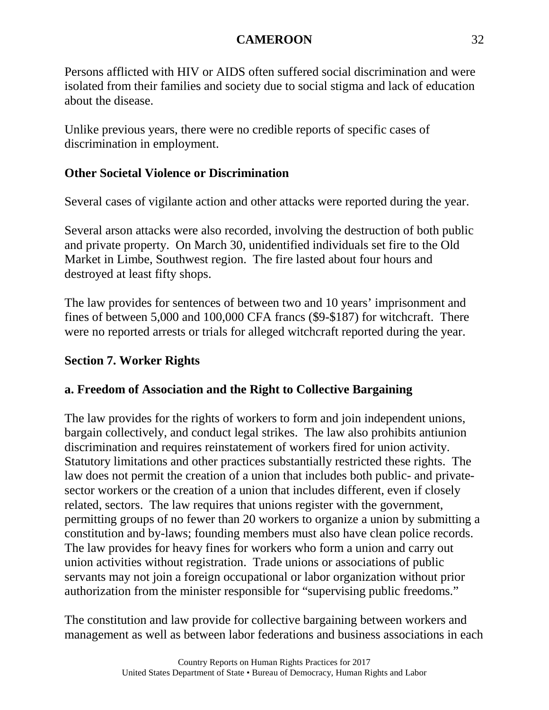Persons afflicted with HIV or AIDS often suffered social discrimination and were isolated from their families and society due to social stigma and lack of education about the disease.

Unlike previous years, there were no credible reports of specific cases of discrimination in employment.

## **Other Societal Violence or Discrimination**

Several cases of vigilante action and other attacks were reported during the year.

Several arson attacks were also recorded, involving the destruction of both public and private property. On March 30, unidentified individuals set fire to the Old Market in Limbe, Southwest region. The fire lasted about four hours and destroyed at least fifty shops.

The law provides for sentences of between two and 10 years' imprisonment and fines of between 5,000 and 100,000 CFA francs (\$9-\$187) for witchcraft. There were no reported arrests or trials for alleged witchcraft reported during the year.

## **Section 7. Worker Rights**

### **a. Freedom of Association and the Right to Collective Bargaining**

The law provides for the rights of workers to form and join independent unions, bargain collectively, and conduct legal strikes. The law also prohibits antiunion discrimination and requires reinstatement of workers fired for union activity. Statutory limitations and other practices substantially restricted these rights. The law does not permit the creation of a union that includes both public- and privatesector workers or the creation of a union that includes different, even if closely related, sectors. The law requires that unions register with the government, permitting groups of no fewer than 20 workers to organize a union by submitting a constitution and by-laws; founding members must also have clean police records. The law provides for heavy fines for workers who form a union and carry out union activities without registration. Trade unions or associations of public servants may not join a foreign occupational or labor organization without prior authorization from the minister responsible for "supervising public freedoms."

The constitution and law provide for collective bargaining between workers and management as well as between labor federations and business associations in each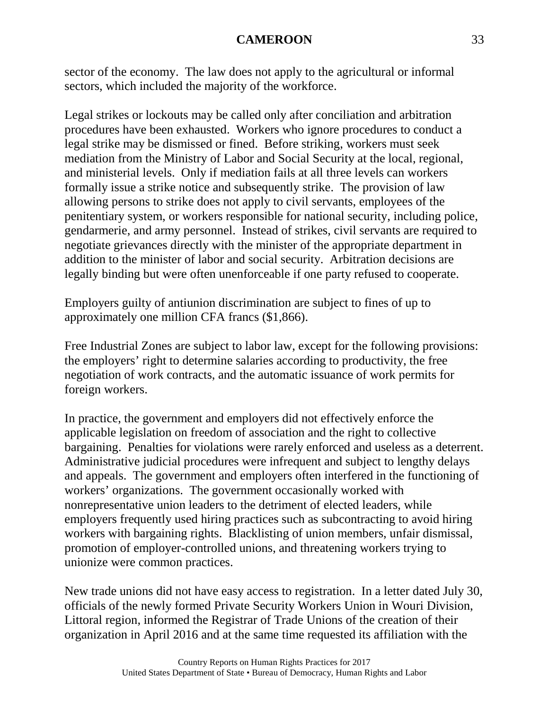sector of the economy. The law does not apply to the agricultural or informal sectors, which included the majority of the workforce.

Legal strikes or lockouts may be called only after conciliation and arbitration procedures have been exhausted. Workers who ignore procedures to conduct a legal strike may be dismissed or fined. Before striking, workers must seek mediation from the Ministry of Labor and Social Security at the local, regional, and ministerial levels. Only if mediation fails at all three levels can workers formally issue a strike notice and subsequently strike. The provision of law allowing persons to strike does not apply to civil servants, employees of the penitentiary system, or workers responsible for national security, including police, gendarmerie, and army personnel. Instead of strikes, civil servants are required to negotiate grievances directly with the minister of the appropriate department in addition to the minister of labor and social security. Arbitration decisions are legally binding but were often unenforceable if one party refused to cooperate.

Employers guilty of antiunion discrimination are subject to fines of up to approximately one million CFA francs (\$1,866).

Free Industrial Zones are subject to labor law, except for the following provisions: the employers' right to determine salaries according to productivity, the free negotiation of work contracts, and the automatic issuance of work permits for foreign workers.

In practice, the government and employers did not effectively enforce the applicable legislation on freedom of association and the right to collective bargaining. Penalties for violations were rarely enforced and useless as a deterrent. Administrative judicial procedures were infrequent and subject to lengthy delays and appeals. The government and employers often interfered in the functioning of workers' organizations. The government occasionally worked with nonrepresentative union leaders to the detriment of elected leaders, while employers frequently used hiring practices such as subcontracting to avoid hiring workers with bargaining rights. Blacklisting of union members, unfair dismissal, promotion of employer-controlled unions, and threatening workers trying to unionize were common practices.

New trade unions did not have easy access to registration. In a letter dated July 30, officials of the newly formed Private Security Workers Union in Wouri Division, Littoral region, informed the Registrar of Trade Unions of the creation of their organization in April 2016 and at the same time requested its affiliation with the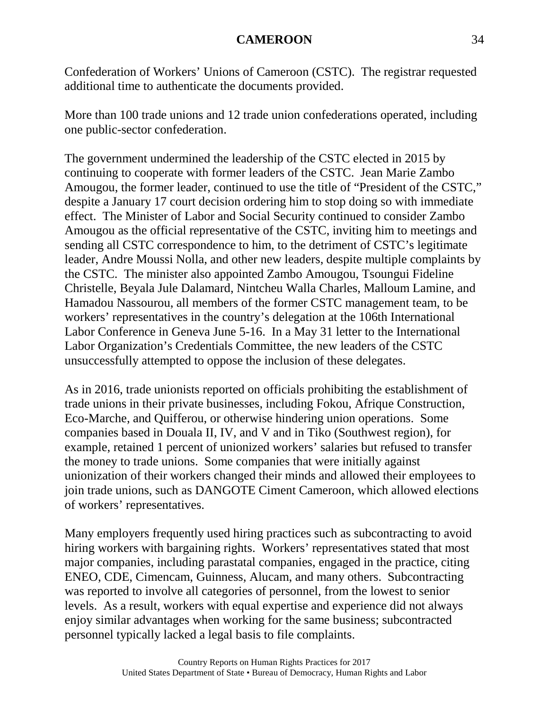Confederation of Workers' Unions of Cameroon (CSTC). The registrar requested additional time to authenticate the documents provided.

More than 100 trade unions and 12 trade union confederations operated, including one public-sector confederation.

The government undermined the leadership of the CSTC elected in 2015 by continuing to cooperate with former leaders of the CSTC. Jean Marie Zambo Amougou, the former leader, continued to use the title of "President of the CSTC," despite a January 17 court decision ordering him to stop doing so with immediate effect. The Minister of Labor and Social Security continued to consider Zambo Amougou as the official representative of the CSTC, inviting him to meetings and sending all CSTC correspondence to him, to the detriment of CSTC's legitimate leader, Andre Moussi Nolla, and other new leaders, despite multiple complaints by the CSTC. The minister also appointed Zambo Amougou, Tsoungui Fideline Christelle, Beyala Jule Dalamard, Nintcheu Walla Charles, Malloum Lamine, and Hamadou Nassourou, all members of the former CSTC management team, to be workers' representatives in the country's delegation at the 106th International Labor Conference in Geneva June 5-16. In a May 31 letter to the International Labor Organization's Credentials Committee, the new leaders of the CSTC unsuccessfully attempted to oppose the inclusion of these delegates.

As in 2016, trade unionists reported on officials prohibiting the establishment of trade unions in their private businesses, including Fokou, Afrique Construction, Eco-Marche, and Quifferou, or otherwise hindering union operations. Some companies based in Douala II, IV, and V and in Tiko (Southwest region), for example, retained 1 percent of unionized workers' salaries but refused to transfer the money to trade unions. Some companies that were initially against unionization of their workers changed their minds and allowed their employees to join trade unions, such as DANGOTE Ciment Cameroon, which allowed elections of workers' representatives.

Many employers frequently used hiring practices such as subcontracting to avoid hiring workers with bargaining rights. Workers' representatives stated that most major companies, including parastatal companies, engaged in the practice, citing ENEO, CDE, Cimencam, Guinness, Alucam, and many others. Subcontracting was reported to involve all categories of personnel, from the lowest to senior levels. As a result, workers with equal expertise and experience did not always enjoy similar advantages when working for the same business; subcontracted personnel typically lacked a legal basis to file complaints.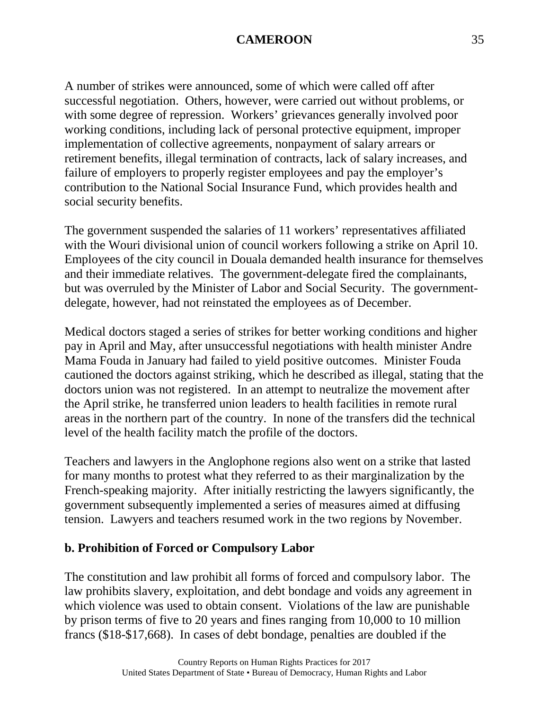A number of strikes were announced, some of which were called off after successful negotiation. Others, however, were carried out without problems, or with some degree of repression. Workers' grievances generally involved poor working conditions, including lack of personal protective equipment, improper implementation of collective agreements, nonpayment of salary arrears or retirement benefits, illegal termination of contracts, lack of salary increases, and failure of employers to properly register employees and pay the employer's contribution to the National Social Insurance Fund, which provides health and social security benefits.

The government suspended the salaries of 11 workers' representatives affiliated with the Wouri divisional union of council workers following a strike on April 10. Employees of the city council in Douala demanded health insurance for themselves and their immediate relatives. The government-delegate fired the complainants, but was overruled by the Minister of Labor and Social Security. The governmentdelegate, however, had not reinstated the employees as of December.

Medical doctors staged a series of strikes for better working conditions and higher pay in April and May, after unsuccessful negotiations with health minister Andre Mama Fouda in January had failed to yield positive outcomes. Minister Fouda cautioned the doctors against striking, which he described as illegal, stating that the doctors union was not registered. In an attempt to neutralize the movement after the April strike, he transferred union leaders to health facilities in remote rural areas in the northern part of the country. In none of the transfers did the technical level of the health facility match the profile of the doctors.

Teachers and lawyers in the Anglophone regions also went on a strike that lasted for many months to protest what they referred to as their marginalization by the French-speaking majority. After initially restricting the lawyers significantly, the government subsequently implemented a series of measures aimed at diffusing tension. Lawyers and teachers resumed work in the two regions by November.

### **b. Prohibition of Forced or Compulsory Labor**

The constitution and law prohibit all forms of forced and compulsory labor. The law prohibits slavery, exploitation, and debt bondage and voids any agreement in which violence was used to obtain consent. Violations of the law are punishable by prison terms of five to 20 years and fines ranging from 10,000 to 10 million francs (\$18-\$17,668). In cases of debt bondage, penalties are doubled if the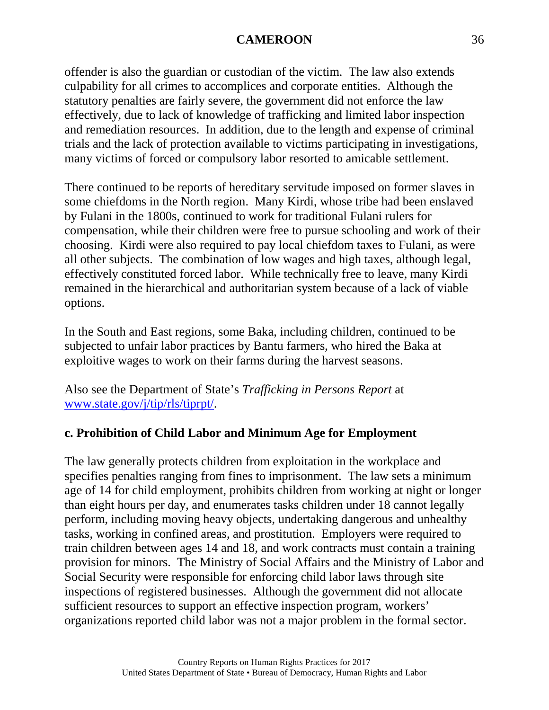offender is also the guardian or custodian of the victim. The law also extends culpability for all crimes to accomplices and corporate entities. Although the statutory penalties are fairly severe, the government did not enforce the law effectively, due to lack of knowledge of trafficking and limited labor inspection and remediation resources. In addition, due to the length and expense of criminal trials and the lack of protection available to victims participating in investigations, many victims of forced or compulsory labor resorted to amicable settlement.

There continued to be reports of hereditary servitude imposed on former slaves in some chiefdoms in the North region. Many Kirdi, whose tribe had been enslaved by Fulani in the 1800s, continued to work for traditional Fulani rulers for compensation, while their children were free to pursue schooling and work of their choosing. Kirdi were also required to pay local chiefdom taxes to Fulani, as were all other subjects. The combination of low wages and high taxes, although legal, effectively constituted forced labor. While technically free to leave, many Kirdi remained in the hierarchical and authoritarian system because of a lack of viable options.

In the South and East regions, some Baka, including children, continued to be subjected to unfair labor practices by Bantu farmers, who hired the Baka at exploitive wages to work on their farms during the harvest seasons.

Also see the Department of State's *Trafficking in Persons Report* at [www.state.gov/j/tip/rls/tiprpt/.](http://www.state.gov/j/tip/rls/tiprpt/)

# **c. Prohibition of Child Labor and Minimum Age for Employment**

The law generally protects children from exploitation in the workplace and specifies penalties ranging from fines to imprisonment. The law sets a minimum age of 14 for child employment, prohibits children from working at night or longer than eight hours per day, and enumerates tasks children under 18 cannot legally perform, including moving heavy objects, undertaking dangerous and unhealthy tasks, working in confined areas, and prostitution. Employers were required to train children between ages 14 and 18, and work contracts must contain a training provision for minors. The Ministry of Social Affairs and the Ministry of Labor and Social Security were responsible for enforcing child labor laws through site inspections of registered businesses. Although the government did not allocate sufficient resources to support an effective inspection program, workers' organizations reported child labor was not a major problem in the formal sector.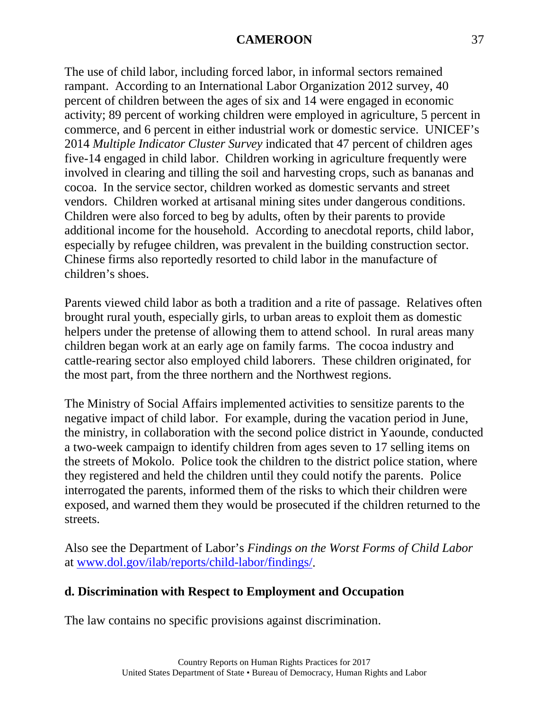The use of child labor, including forced labor, in informal sectors remained rampant. According to an International Labor Organization 2012 survey, 40 percent of children between the ages of six and 14 were engaged in economic activity; 89 percent of working children were employed in agriculture, 5 percent in commerce, and 6 percent in either industrial work or domestic service. UNICEF's 2014 *Multiple Indicator Cluster Survey* indicated that 47 percent of children ages five-14 engaged in child labor. Children working in agriculture frequently were involved in clearing and tilling the soil and harvesting crops, such as bananas and cocoa. In the service sector, children worked as domestic servants and street vendors. Children worked at artisanal mining sites under dangerous conditions. Children were also forced to beg by adults, often by their parents to provide additional income for the household. According to anecdotal reports, child labor, especially by refugee children, was prevalent in the building construction sector. Chinese firms also reportedly resorted to child labor in the manufacture of children's shoes.

Parents viewed child labor as both a tradition and a rite of passage. Relatives often brought rural youth, especially girls, to urban areas to exploit them as domestic helpers under the pretense of allowing them to attend school. In rural areas many children began work at an early age on family farms. The cocoa industry and cattle-rearing sector also employed child laborers. These children originated, for the most part, from the three northern and the Northwest regions.

The Ministry of Social Affairs implemented activities to sensitize parents to the negative impact of child labor. For example, during the vacation period in June, the ministry, in collaboration with the second police district in Yaounde, conducted a two-week campaign to identify children from ages seven to 17 selling items on the streets of Mokolo. Police took the children to the district police station, where they registered and held the children until they could notify the parents. Police interrogated the parents, informed them of the risks to which their children were exposed, and warned them they would be prosecuted if the children returned to the streets.

Also see the Department of Labor's *Findings on the Worst Forms of Child Labor* at [www.dol.gov/ilab/reports/child-labor/findings/.](http://www.dol.gov/ilab/reports/child-labor/findings/)

### **d. Discrimination with Respect to Employment and Occupation**

The law contains no specific provisions against discrimination.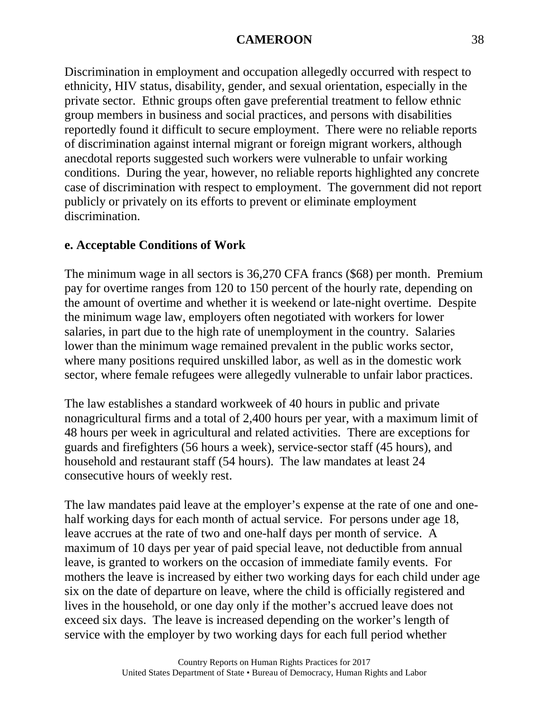Discrimination in employment and occupation allegedly occurred with respect to ethnicity, HIV status, disability, gender, and sexual orientation, especially in the private sector. Ethnic groups often gave preferential treatment to fellow ethnic group members in business and social practices, and persons with disabilities reportedly found it difficult to secure employment. There were no reliable reports of discrimination against internal migrant or foreign migrant workers, although anecdotal reports suggested such workers were vulnerable to unfair working conditions. During the year, however, no reliable reports highlighted any concrete case of discrimination with respect to employment. The government did not report publicly or privately on its efforts to prevent or eliminate employment discrimination.

# **e. Acceptable Conditions of Work**

The minimum wage in all sectors is 36,270 CFA francs (\$68) per month. Premium pay for overtime ranges from 120 to 150 percent of the hourly rate, depending on the amount of overtime and whether it is weekend or late-night overtime. Despite the minimum wage law, employers often negotiated with workers for lower salaries, in part due to the high rate of unemployment in the country. Salaries lower than the minimum wage remained prevalent in the public works sector, where many positions required unskilled labor, as well as in the domestic work sector, where female refugees were allegedly vulnerable to unfair labor practices.

The law establishes a standard workweek of 40 hours in public and private nonagricultural firms and a total of 2,400 hours per year, with a maximum limit of 48 hours per week in agricultural and related activities. There are exceptions for guards and firefighters (56 hours a week), service-sector staff (45 hours), and household and restaurant staff (54 hours). The law mandates at least 24 consecutive hours of weekly rest.

The law mandates paid leave at the employer's expense at the rate of one and onehalf working days for each month of actual service. For persons under age 18, leave accrues at the rate of two and one-half days per month of service. A maximum of 10 days per year of paid special leave, not deductible from annual leave, is granted to workers on the occasion of immediate family events. For mothers the leave is increased by either two working days for each child under age six on the date of departure on leave, where the child is officially registered and lives in the household, or one day only if the mother's accrued leave does not exceed six days. The leave is increased depending on the worker's length of service with the employer by two working days for each full period whether